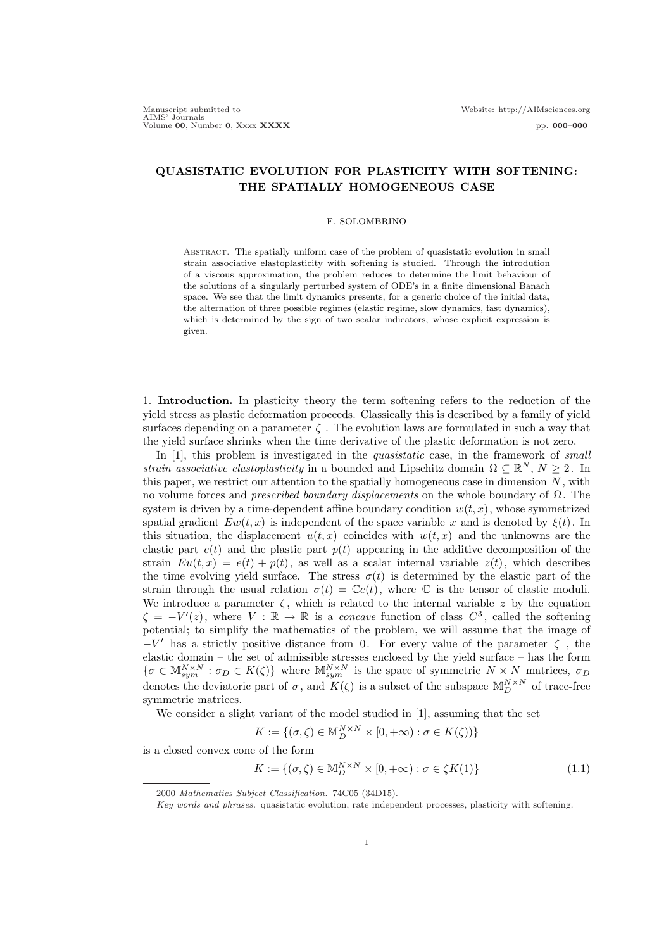# QUASISTATIC EVOLUTION FOR PLASTICITY WITH SOFTENING: THE SPATIALLY HOMOGENEOUS CASE

#### F. SOLOMBRINO

Abstract. The spatially uniform case of the problem of quasistatic evolution in small strain associative elastoplasticity with softening is studied. Through the introdution of a viscous approximation, the problem reduces to determine the limit behaviour of the solutions of a singularly perturbed system of ODE's in a finite dimensional Banach space. We see that the limit dynamics presents, for a generic choice of the initial data, the alternation of three possible regimes (elastic regime, slow dynamics, fast dynamics), which is determined by the sign of two scalar indicators, whose explicit expression is given.

1. Introduction. In plasticity theory the term softening refers to the reduction of the yield stress as plastic deformation proceeds. Classically this is described by a family of yield surfaces depending on a parameter  $\zeta$ . The evolution laws are formulated in such a way that the yield surface shrinks when the time derivative of the plastic deformation is not zero.

In [1], this problem is investigated in the *quasistatic* case, in the framework of *small* strain associative elastoplasticity in a bounded and Lipschitz domain  $\Omega \subseteq \mathbb{R}^N$ ,  $N \geq 2$ . In this paper, we restrict our attention to the spatially homogeneous case in dimension  $N$ , with no volume forces and *prescribed boundary displacements* on the whole boundary of  $\Omega$ . The system is driven by a time-dependent affine boundary condition  $w(t, x)$ , whose symmetrized spatial gradient  $Ew(t, x)$  is independent of the space variable x and is denoted by  $\xi(t)$ . In this situation, the displacement  $u(t, x)$  coincides with  $w(t, x)$  and the unknowns are the elastic part  $e(t)$  and the plastic part  $p(t)$  appearing in the additive decomposition of the strain  $Eu(t, x) = e(t) + p(t)$ , as well as a scalar internal variable  $z(t)$ , which describes the time evolving yield surface. The stress  $\sigma(t)$  is determined by the elastic part of the strain through the usual relation  $\sigma(t) = \mathbb{C}e(t)$ , where  $\mathbb C$  is the tensor of elastic moduli. We introduce a parameter  $\zeta$ , which is related to the internal variable z by the equation  $\zeta = -V'(z)$ , where  $V : \mathbb{R} \to \mathbb{R}$  is a *concave* function of class  $C^3$ , called the softening potential; to simplify the mathematics of the problem, we will assume that the image of  $-V'$  has a strictly positive distance from 0. For every value of the parameter  $\zeta$ , the elastic domain – the set of admissible stresses enclosed by the yield surface – has the form  $\{\sigma \in \mathbb{M}_{sym}^{N \times N} : \sigma_D \in K(\zeta)\}\$  where  $\mathbb{M}_{sym}^{N \times N}$  is the space of symmetric  $N \times N$  matrices,  $\sigma_D$ denotes the deviatoric part of  $\sigma$ , and  $K(\zeta)$  is a subset of the subspace  $\mathbb{M}_{D}^{N\times N}$  of trace-free symmetric matrices.

We consider a slight variant of the model studied in [1], assuming that the set

$$
K := \{ (\sigma, \zeta) \in \mathbb{M}_D^{N \times N} \times [0, +\infty) : \sigma \in K(\zeta)) \}
$$

is a closed convex cone of the form

$$
K := \{ (\sigma, \zeta) \in \mathbb{M}_D^{N \times N} \times [0, +\infty) : \sigma \in \zeta K(1) \}
$$
\n
$$
(1.1)
$$

<sup>2000</sup> Mathematics Subject Classification. 74C05 (34D15).

Key words and phrases. quasistatic evolution, rate independent processes, plasticity with softening.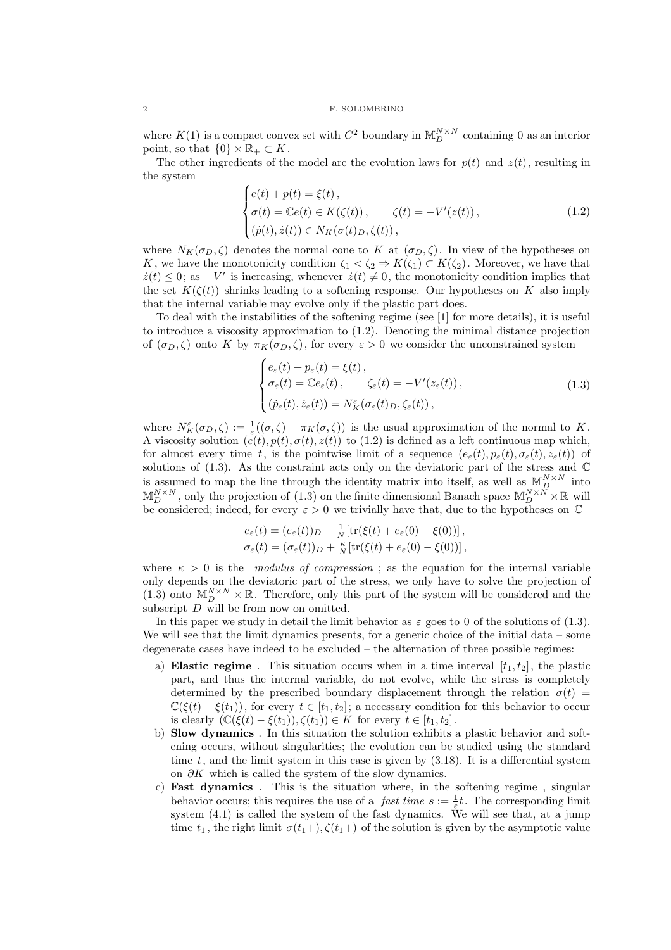where  $K(1)$  is a compact convex set with  $C^2$  boundary in  $\mathbb{M}_D^{N \times N}$  containing 0 as an interior point, so that  $\{0\} \times \mathbb{R}_+ \subset K$ .

The other ingredients of the model are the evolution laws for  $p(t)$  and  $z(t)$ , resulting in the system  $\overline{a}$ 

$$
\begin{cases}\ne(t) + p(t) = \xi(t), \\
\sigma(t) = \mathbb{C}e(t) \in K(\zeta(t)), \\
(\dot{p}(t), \dot{z}(t)) \in N_K(\sigma(t)_D, \zeta(t)),\n\end{cases} \tag{1.2}
$$

where  $N_K(\sigma_D, \zeta)$  denotes the normal cone to K at  $(\sigma_D, \zeta)$ . In view of the hypotheses on K, we have the monotonicity condition  $\zeta_1 < \zeta_2 \Rightarrow K(\zeta_1) \subset K(\zeta_2)$ . Moreover, we have that  $\dot{z}(t) \leq 0$ ; as  $-V'$  is increasing, whenever  $\dot{z}(t) \neq 0$ , the monotonicity condition implies that the set  $K(\zeta(t))$  shrinks leading to a softening response. Our hypotheses on K also imply that the internal variable may evolve only if the plastic part does.

To deal with the instabilities of the softening regime (see [1] for more details), it is useful to introduce a viscosity approximation to (1.2). Denoting the minimal distance projection of  $(\sigma_D, \zeta)$  onto K by  $\pi_K(\sigma_D, \zeta)$ , for every  $\varepsilon > 0$  we consider the unconstrained system

$$
\begin{cases}\ne_{\varepsilon}(t) + p_{\varepsilon}(t) = \xi(t), \\
\sigma_{\varepsilon}(t) = \mathbb{C}e_{\varepsilon}(t), \qquad \zeta_{\varepsilon}(t) = -V'(z_{\varepsilon}(t)), \\
(\dot{p}_{\varepsilon}(t), \dot{z}_{\varepsilon}(t)) = N_K^{\varepsilon}(\sigma_{\varepsilon}(t)_D, \zeta_{\varepsilon}(t)),\n\end{cases} \tag{1.3}
$$

where  $N_K^{\varepsilon}(\sigma_D,\zeta) := \frac{1}{\varepsilon}((\sigma,\zeta) - \pi_K(\sigma,\zeta))$  is the usual approximation of the normal to K. A viscosity solution  $(e(t), p(t), \sigma(t), z(t))$  to (1.2) is defined as a left continuous map which, for almost every time t, is the pointwise limit of a sequence  $(e_{\varepsilon}(t), p_{\varepsilon}(t), \sigma_{\varepsilon}(t), z_{\varepsilon}(t))$  of solutions of  $(1.3)$ . As the constraint acts only on the deviatoric part of the stress and  $\mathbb C$ is assumed to map the line through the identity matrix into itself, as well as  $\mathbb{M}_{D}^{N\times N}$  into  $\mathbb{M}_{D}^{N\times N}$ , only the projection of  $(1.3)$  on the finite dimensional Banach space  $\mathbb{M}_{D}^{N\times N}\times\mathbb{R}$  will be considered; indeed, for every  $\varepsilon > 0$  we trivially have that, due to the hypotheses on  $\mathbb C$ 

$$
e_{\varepsilon}(t) = (e_{\varepsilon}(t))_{D} + \frac{1}{N} [\text{tr}(\xi(t) + e_{\varepsilon}(0) - \xi(0))],
$$
  

$$
\sigma_{\varepsilon}(t) = (\sigma_{\varepsilon}(t))_{D} + \frac{\kappa}{N} [\text{tr}(\xi(t) + e_{\varepsilon}(0) - \xi(0))],
$$

where  $\kappa > 0$  is the modulus of compression; as the equation for the internal variable only depends on the deviatoric part of the stress, we only have to solve the projection of (1.3) onto  $\mathbb{M}_{D}^{N\times N}\times\mathbb{R}$ . Therefore, only this part of the system will be considered and the subscript  $D$  will be from now on omitted.

In this paper we study in detail the limit behavior as  $\varepsilon$  goes to 0 of the solutions of (1.3). We will see that the limit dynamics presents, for a generic choice of the initial data – some degenerate cases have indeed to be excluded – the alternation of three possible regimes:

- a) Elastic regime. This situation occurs when in a time interval  $[t_1, t_2]$ , the plastic part, and thus the internal variable, do not evolve, while the stress is completely determined by the prescribed boundary displacement through the relation  $\sigma(t)$  =  $\mathbb{C}(\xi(t) - \xi(t_1))$ , for every  $t \in [t_1, t_2]$ ; a necessary condition for this behavior to occur is clearly  $(\mathbb{C}(\xi(t) - \xi(t_1)), \zeta(t_1)) \in K$  for every  $t \in [t_1, t_2]$ .
- b) Slow dynamics . In this situation the solution exhibits a plastic behavior and softening occurs, without singularities; the evolution can be studied using the standard time  $t$ , and the limit system in this case is given by  $(3.18)$ . It is a differential system on  $\partial K$  which is called the system of the slow dynamics.
- c) Fast dynamics . This is the situation where, in the softening regime , singular behavior occurs; this requires the use of a *fast time*  $s := \frac{1}{\varepsilon}t$ . The corresponding limit system  $(4.1)$  is called the system of the fast dynamics. We will see that, at a jump time  $t_1$ , the right limit  $\sigma(t_1+)$ ,  $\zeta(t_1+)$  of the solution is given by the asymptotic value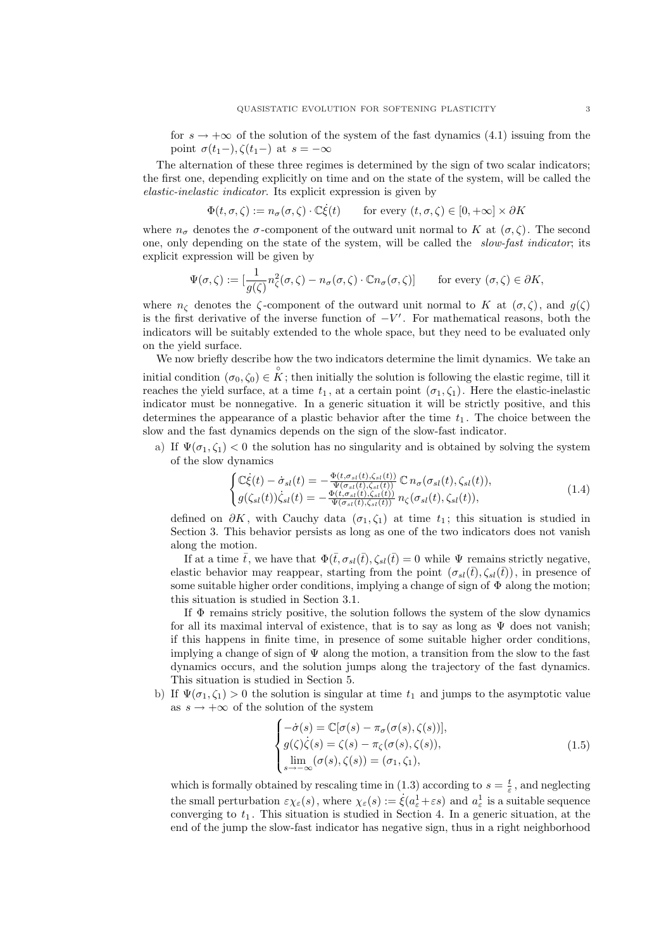for  $s \to +\infty$  of the solution of the system of the fast dynamics (4.1) issuing from the point  $\sigma(t_1-), \zeta(t_1-)$  at  $s = -\infty$ 

The alternation of these three regimes is determined by the sign of two scalar indicators; the first one, depending explicitly on time and on the state of the system, will be called the elastic-inelastic indicator. Its explicit expression is given by

$$
\Phi(t,\sigma,\zeta) := n_{\sigma}(\sigma,\zeta) \cdot \mathbb{C}\dot{\xi}(t) \qquad \text{for every } (t,\sigma,\zeta) \in [0,+\infty] \times \partial K
$$

where  $n_{\sigma}$  denotes the  $\sigma$ -component of the outward unit normal to K at  $(\sigma, \zeta)$ . The second one, only depending on the state of the system, will be called the slow-fast indicator; its explicit expression will be given by

$$
\Psi(\sigma,\zeta) := \left[\frac{1}{g(\zeta)}n_{\zeta}^2(\sigma,\zeta) - n_{\sigma}(\sigma,\zeta) \cdot \mathbb{C}n_{\sigma}(\sigma,\zeta)\right] \qquad \text{for every } (\sigma,\zeta) \in \partial K,
$$

where  $n_{\zeta}$  denotes the  $\zeta$ -component of the outward unit normal to K at  $(\sigma, \zeta)$ , and  $g(\zeta)$ is the first derivative of the inverse function of  $-V'$ . For mathematical reasons, both the indicators will be suitably extended to the whole space, but they need to be evaluated only on the yield surface.

We now briefly describe how the two indicators determine the limit dynamics. We take an initial condition  $(\sigma_0, \zeta_0) \in \overset{\circ}{K}$ ; then initially the solution is following the elastic regime, till it reaches the yield surface, at a time  $t_1$ , at a certain point  $(\sigma_1, \zeta_1)$ . Here the elastic-inelastic indicator must be nonnegative. In a generic situation it will be strictly positive, and this determines the appearance of a plastic behavior after the time  $t_1$ . The choice between the slow and the fast dynamics depends on the sign of the slow-fast indicator.

a) If  $\Psi(\sigma_1,\zeta_1)$  < 0 the solution has no singularity and is obtained by solving the system of the slow dynamics

$$
\begin{cases}\n\mathbb{C}\dot{\xi}(t) - \dot{\sigma}_{sl}(t) = -\frac{\Phi(t, \sigma_{sl}(t), \zeta_{sl}(t))}{\Psi(\sigma_{sl}(t), \zeta_{sl}(t))} \mathbb{C} \, n_{\sigma}(\sigma_{sl}(t), \zeta_{sl}(t)), \\
g(\zeta_{sl}(t))\dot{\zeta}_{sl}(t) = -\frac{\Phi(t, \sigma_{sl}(t), \zeta_{sl}(t))}{\Psi(\sigma_{sl}(t), \zeta_{sl}(t))} \, n_{\zeta}(\sigma_{sl}(t), \zeta_{sl}(t)),\n\end{cases} \tag{1.4}
$$

defined on  $\partial K$ , with Cauchy data  $(\sigma_1, \zeta_1)$  at time  $t_1$ ; this situation is studied in Section 3. This behavior persists as long as one of the two indicators does not vanish along the motion.

If at a time  $\bar{t}$ , we have that  $\Phi(\bar{t}, \sigma_{sl}(\bar{t}), \zeta_{sl}(\bar{t}) = 0$  while  $\Psi$  remains strictly negative, elastic behavior may reappear, starting from the point  $(\sigma_{sl}(\bar{t}), \zeta_{sl}(\bar{t}))$ , in presence of some suitable higher order conditions, implying a change of sign of  $\Phi$  along the motion; this situation is studied in Section 3.1.

If  $\Phi$  remains stricly positive, the solution follows the system of the slow dynamics for all its maximal interval of existence, that is to say as long as  $\Psi$  does not vanish; if this happens in finite time, in presence of some suitable higher order conditions, implying a change of sign of  $\Psi$  along the motion, a transition from the slow to the fast dynamics occurs, and the solution jumps along the trajectory of the fast dynamics. This situation is studied in Section 5.

b) If  $\Psi(\sigma_1, \zeta_1) > 0$  the solution is singular at time  $t_1$  and jumps to the asymptotic value as  $s \to +\infty$  of the solution of the system

$$
\begin{cases}\n-\dot{\sigma}(s) = \mathbb{C}[\sigma(s) - \pi_{\sigma}(\sigma(s), \zeta(s))],\ng(\zeta)\dot{\zeta}(s) = \zeta(s) - \pi_{\zeta}(\sigma(s), \zeta(s)),\n\lim_{s \to -\infty} (\sigma(s), \zeta(s)) = (\sigma_1, \zeta_1),\n\end{cases}
$$
\n(1.5)

which is formally obtained by rescaling time in (1.3) according to  $s = \frac{t}{\varepsilon}$ , and neglecting the small perturbation  $\varepsilon \chi_{\varepsilon}(s)$ , where  $\chi_{\varepsilon}(s) := \dot{\xi}(a_{\varepsilon}^1 + \varepsilon s)$  and  $a_{\varepsilon}^1$  is a suitable sequence converging to  $t_1$ . This situation is studied in Section 4. In a generic situation, at the end of the jump the slow-fast indicator has negative sign, thus in a right neighborhood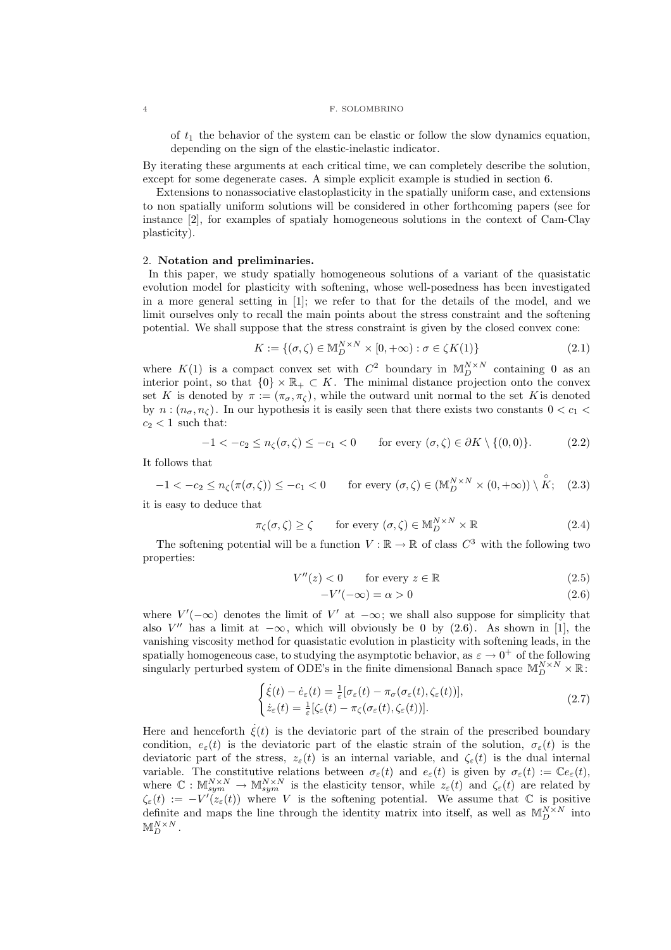of  $t_1$  the behavior of the system can be elastic or follow the slow dynamics equation, depending on the sign of the elastic-inelastic indicator.

By iterating these arguments at each critical time, we can completely describe the solution, except for some degenerate cases. A simple explicit example is studied in section 6.

Extensions to nonassociative elastoplasticity in the spatially uniform case, and extensions to non spatially uniform solutions will be considered in other forthcoming papers (see for instance [2], for examples of spatialy homogeneous solutions in the context of Cam-Clay plasticity).

## 2. Notation and preliminaries.

In this paper, we study spatially homogeneous solutions of a variant of the quasistatic evolution model for plasticity with softening, whose well-posedness has been investigated in a more general setting in [1]; we refer to that for the details of the model, and we limit ourselves only to recall the main points about the stress constraint and the softening potential. We shall suppose that the stress constraint is given by the closed convex cone:

$$
K := \{ (\sigma, \zeta) \in \mathbb{M}_D^{N \times N} \times [0, +\infty) : \sigma \in \zeta K(1) \}
$$
\n
$$
(2.1)
$$

where  $K(1)$  is a compact convex set with  $C^2$  boundary in  $\mathbb{M}_D^{N \times N}$  containing 0 as an interior point, so that  $\{0\} \times \mathbb{R}_+ \subset K$ . The minimal distance projection onto the convex set K is denoted by  $\pi := (\pi_{\sigma}, \pi_{\zeta})$ , while the outward unit normal to the set K is denoted by  $n:(n_{\sigma},n_{\zeta})$ . In our hypothesis it is easily seen that there exists two constants  $0 < c_1$  $c_2 < 1$  such that:

$$
-1 < -c_2 \le n_{\zeta}(\sigma,\zeta) \le -c_1 < 0 \qquad \text{for every } (\sigma,\zeta) \in \partial K \setminus \{(0,0)\}. \tag{2.2}
$$

It follows that

$$
-1 < -c_2 \le n_{\zeta}(\pi(\sigma,\zeta)) \le -c_1 < 0 \qquad \text{for every } (\sigma,\zeta) \in (\mathbb{M}_D^{N \times N} \times (0,+\infty)) \setminus \overset{\circ}{K}; \quad (2.3)
$$

it is easy to deduce that

$$
\pi_{\zeta}(\sigma,\zeta) \ge \zeta \qquad \text{for every } (\sigma,\zeta) \in \mathbb{M}_D^{N \times N} \times \mathbb{R} \tag{2.4}
$$

The softening potential will be a function  $V : \mathbb{R} \to \mathbb{R}$  of class  $C^3$  with the following two properties:

$$
V''(z) < 0 \qquad \text{for every } z \in \mathbb{R} \tag{2.5}
$$

$$
-V'(-\infty) = \alpha > 0
$$
\n<sup>(2.6)</sup>

where  $V'(-\infty)$  denotes the limit of  $V'$  at  $-\infty$ ; we shall also suppose for simplicity that also  $V''$  has a limit at  $-\infty$ , which will obviously be 0 by (2.6). As shown in [1], the vanishing viscosity method for quasistatic evolution in plasticity with softening leads, in the spatially homogeneous case, to studying the asymptotic behavior, as  $\varepsilon \to 0^+$  of the following singularly perturbed system of ODE's in the finite dimensional Banach space  $\mathbb{M}_{D}^{N \times N} \times \mathbb{R}$ .

$$
\begin{cases}\n\dot{\xi}(t) - \dot{e}_{\varepsilon}(t) = \frac{1}{\varepsilon} [\sigma_{\varepsilon}(t) - \pi_{\sigma}(\sigma_{\varepsilon}(t), \zeta_{\varepsilon}(t))], \\
\dot{z}_{\varepsilon}(t) = \frac{1}{\varepsilon} [\zeta_{\varepsilon}(t) - \pi_{\zeta}(\sigma_{\varepsilon}(t), \zeta_{\varepsilon}(t))].\n\end{cases}
$$
\n(2.7)

Here and henceforth  $\dot{\xi}(t)$  is the deviatoric part of the strain of the prescribed boundary condition,  $e_{\varepsilon}(t)$  is the deviatoric part of the elastic strain of the solution,  $\sigma_{\varepsilon}(t)$  is the deviatoric part of the stress,  $z_{\varepsilon}(t)$  is an internal variable, and  $\zeta_{\varepsilon}(t)$  is the dual internal variable. The constitutive relations between  $\sigma_{\varepsilon}(t)$  and  $e_{\varepsilon}(t)$  is given by  $\sigma_{\varepsilon}(t) := \mathbb{C}e_{\varepsilon}(t)$ , where  $\mathbb{C}: \mathbb{M}_{sym}^{N\times N} \to \mathbb{M}_{sym}^{N\times N}$  is the elasticity tensor, while  $z_{\varepsilon}(t)$  and  $\zeta_{\varepsilon}(t)$  are related by  $\zeta_{\varepsilon}(t) := -V'(\zeta_{\varepsilon}(t))$  where V is the softening potential. We assume that  $\mathbb C$  is positive definite and maps the line through the identity matrix into itself, as well as  $\mathbb{M}_{D}^{N\times N}$  into  $\mathbb{M}^{N\times N}_{D}$  .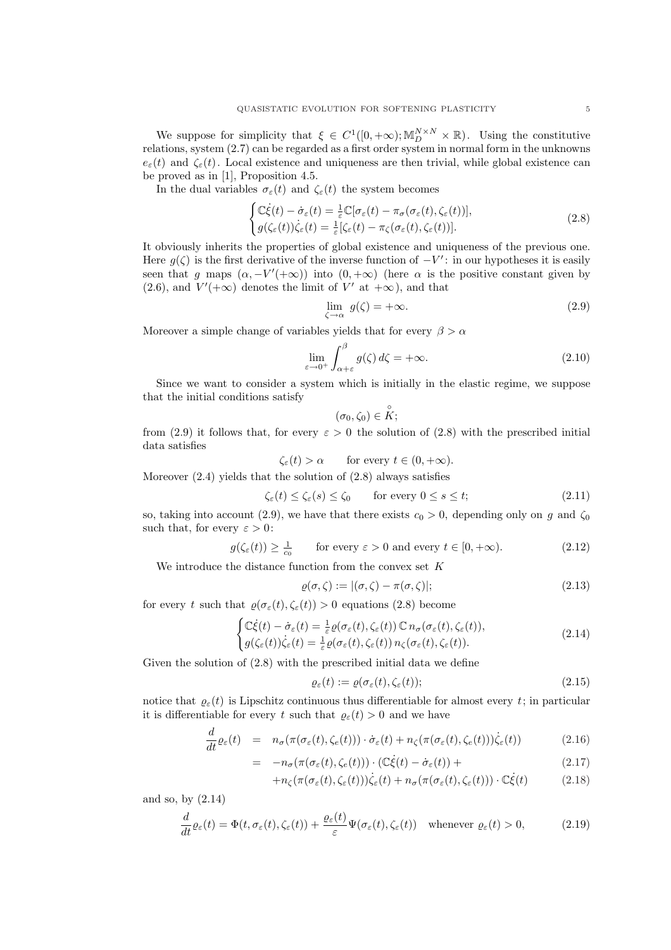We suppose for simplicity that  $\xi \in C^1([0, +\infty); \mathbb{M}_D^{N \times N} \times \mathbb{R})$ . Using the constitutive relations, system (2.7) can be regarded as a first order system in normal form in the unknowns  $e_{\varepsilon}(t)$  and  $\zeta_{\varepsilon}(t)$ . Local existence and uniqueness are then trivial, while global existence can be proved as in [1], Proposition 4.5.

In the dual variables  $\sigma_{\varepsilon}(t)$  and  $\zeta_{\varepsilon}(t)$  the system becomes

$$
\begin{cases}\n\mathbb{C}\dot{\xi}(t) - \dot{\sigma}_{\varepsilon}(t) = \frac{1}{\varepsilon}\mathbb{C}[\sigma_{\varepsilon}(t) - \pi_{\sigma}(\sigma_{\varepsilon}(t), \zeta_{\varepsilon}(t))],\\
g(\zeta_{\varepsilon}(t))\dot{\zeta}_{\varepsilon}(t) = \frac{1}{\varepsilon}[\zeta_{\varepsilon}(t) - \pi_{\zeta}(\sigma_{\varepsilon}(t), \zeta_{\varepsilon}(t))].\n\end{cases}
$$
\n(2.8)

It obviously inherits the properties of global existence and uniqueness of the previous one. Here  $g(\zeta)$  is the first derivative of the inverse function of  $-V'$ : in our hypotheses it is easily seen that g maps  $(\alpha, -V'(\alpha))$  into  $(0, +\infty)$  (here  $\alpha$  is the positive constant given by  $(2.6)$ , and  $V'(+\infty)$  denotes the limit of V' at  $+\infty$ ), and that

$$
\lim_{\zeta \to \alpha} g(\zeta) = +\infty. \tag{2.9}
$$

Moreover a simple change of variables yields that for every  $\beta > \alpha$ 

$$
\lim_{\varepsilon \to 0^+} \int_{\alpha + \varepsilon}^{\beta} g(\zeta) d\zeta = +\infty.
$$
\n(2.10)

Since we want to consider a system which is initially in the elastic regime, we suppose that the initial conditions satisfy ◦

$$
(\sigma_0,\zeta_0)\in K;
$$

from (2.9) it follows that, for every  $\varepsilon > 0$  the solution of (2.8) with the prescribed initial data satisfies

 $\zeta_{\varepsilon}(t) > \alpha$  for every  $t \in (0, +\infty)$ .

Moreover  $(2.4)$  yields that the solution of  $(2.8)$  always satisfies

$$
\zeta_{\varepsilon}(t) \le \zeta_{\varepsilon}(s) \le \zeta_0 \qquad \text{for every } 0 \le s \le t; \tag{2.11}
$$

so, taking into account (2.9), we have that there exists  $c_0 > 0$ , depending only on g and  $\zeta_0$ such that, for every  $\varepsilon > 0$ :

$$
g(\zeta_{\varepsilon}(t)) \ge \frac{1}{c_0} \qquad \text{for every } \varepsilon > 0 \text{ and every } t \in [0, +\infty). \tag{2.12}
$$

We introduce the distance function from the convex set  $K$ 

$$
\varrho(\sigma,\zeta) := |(\sigma,\zeta) - \pi(\sigma,\zeta)|; \tag{2.13}
$$

for every t such that  $\varrho(\sigma_{\varepsilon}(t), \zeta_{\varepsilon}(t)) > 0$  equations (2.8) become

$$
\begin{cases} \mathbb{C}\dot{\xi}(t) - \dot{\sigma}_{\varepsilon}(t) = \frac{1}{\varepsilon} \varrho(\sigma_{\varepsilon}(t), \zeta_{\varepsilon}(t)) \mathbb{C} \, n_{\sigma}(\sigma_{\varepsilon}(t), \zeta_{\varepsilon}(t)), \\ g(\zeta_{\varepsilon}(t)) \dot{\zeta}_{\varepsilon}(t) = \frac{1}{\varepsilon} \varrho(\sigma_{\varepsilon}(t), \zeta_{\varepsilon}(t)) \, n_{\zeta}(\sigma_{\varepsilon}(t), \zeta_{\varepsilon}(t)). \end{cases} \tag{2.14}
$$

Given the solution of (2.8) with the prescribed initial data we define

$$
\varrho_{\varepsilon}(t) := \varrho(\sigma_{\varepsilon}(t), \zeta_{\varepsilon}(t));\tag{2.15}
$$

notice that  $\rho_{\varepsilon}(t)$  is Lipschitz continuous thus differentiable for almost every t; in particular it is differentiable for every t such that  $\rho_{\varepsilon}(t) > 0$  and we have

$$
\frac{d}{dt}\varrho_{\varepsilon}(t) = n_{\sigma}(\pi(\sigma_{\varepsilon}(t), \zeta_{e}(t))) \cdot \dot{\sigma}_{\varepsilon}(t) + n_{\zeta}(\pi(\sigma_{\varepsilon}(t), \zeta_{e}(t))) \dot{\zeta}_{\varepsilon}(t)) \tag{2.16}
$$

$$
= -n_{\sigma}(\pi(\sigma_{\varepsilon}(t), \zeta_{\varepsilon}(t))) \cdot (\mathbb{C}\dot{\xi}(t) - \dot{\sigma}_{\varepsilon}(t)) +
$$
\n(2.17)

$$
+n_{\zeta}(\pi(\sigma_{\varepsilon}(t),\zeta_{\varepsilon}(t)))\dot{\zeta}_{\varepsilon}(t)+n_{\sigma}(\pi(\sigma_{\varepsilon}(t),\zeta_{\varepsilon}(t)))\cdot\mathbb{C}\dot{\xi}(t) \qquad (2.18)
$$

and so, by (2.14)

$$
\frac{d}{dt}\varrho_{\varepsilon}(t) = \Phi(t, \sigma_{\varepsilon}(t), \zeta_{\varepsilon}(t)) + \frac{\varrho_{\varepsilon}(t)}{\varepsilon} \Psi(\sigma_{\varepsilon}(t), \zeta_{\varepsilon}(t)) \quad \text{whenever } \varrho_{\varepsilon}(t) > 0,
$$
\n(2.19)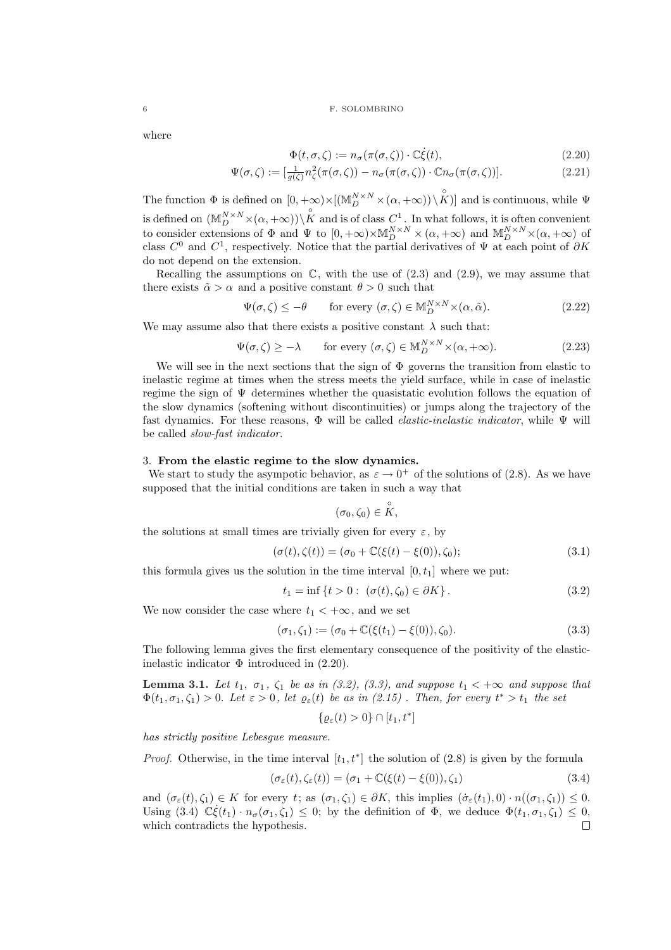where

$$
\Phi(t, \sigma, \zeta) := n_{\sigma}(\pi(\sigma, \zeta)) \cdot \mathbb{C}\dot{\xi}(t), \qquad (2.20)
$$

$$
\Psi(\sigma,\zeta) := \left[\frac{1}{g(\zeta)}n_{\zeta}^2(\pi(\sigma,\zeta)) - n_{\sigma}(\pi(\sigma,\zeta)) \cdot \mathbb{C}n_{\sigma}(\pi(\sigma,\zeta))\right].\tag{2.21}
$$

The function  $\Phi$  is defined on  $[0, +\infty) \times [(\mathbb{M}_{D}^{N \times N} \times (\alpha, +\infty)) \setminus \overset{\circ}{K})]$  and is continuous, while  $\Psi$ is defined on  $(M_{D}^{N\times N}\times(\alpha,+\infty))\setminus\overset{\circ}{K}$  and is of class  $C^{1}$ . In what follows, it is often convenient to consider extensions of  $\Phi$  and  $\Psi$  to  $[0, +\infty) \times \mathbb{M}_{D}^{N \times N} \times (\alpha, +\infty)$  and  $\mathbb{M}_{D}^{N \times N} \times (\alpha, +\infty)$  of class  $C^0$  and  $C^1$ , respectively. Notice that the partial derivatives of  $\Psi$  at each point of  $\partial K$ do not depend on the extension.

Recalling the assumptions on  $\mathbb{C}$ , with the use of  $(2.3)$  and  $(2.9)$ , we may assume that there exists  $\tilde{\alpha} > \alpha$  and a positive constant  $\theta > 0$  such that

$$
\Psi(\sigma,\zeta) \le -\theta \qquad \text{for every } (\sigma,\zeta) \in \mathbb{M}_D^{N \times N} \times (\alpha,\tilde{\alpha}). \tag{2.22}
$$

We may assume also that there exists a positive constant  $\lambda$  such that:

$$
\Psi(\sigma,\zeta) \ge -\lambda \qquad \text{for every } (\sigma,\zeta) \in \mathbb{M}_D^{N \times N} \times (\alpha,+\infty). \tag{2.23}
$$

We will see in the next sections that the sign of Φ governs the transition from elastic to inelastic regime at times when the stress meets the yield surface, while in case of inelastic regime the sign of  $\Psi$  determines whether the quasistatic evolution follows the equation of the slow dynamics (softening without discontinuities) or jumps along the trajectory of the fast dynamics. For these reasons,  $\Phi$  will be called *elastic-inelastic indicator*, while  $\Psi$  will be called slow-fast indicator.

#### 3. From the elastic regime to the slow dynamics.

We start to study the asympotic behavior, as  $\varepsilon \to 0^+$  of the solutions of (2.8). As we have supposed that the initial conditions are taken in such a way that

$$
(\sigma_0,\zeta_0)\in \overset{\circ}{K},
$$

the solutions at small times are trivially given for every  $\varepsilon$ , by

$$
(\sigma(t), \zeta(t)) = (\sigma_0 + \mathbb{C}(\xi(t) - \xi(0)), \zeta_0);
$$
\n(3.1)

this formula gives us the solution in the time interval  $[0, t<sub>1</sub>]$  where we put:

$$
t_1 = \inf \{ t > 0 : \ (\sigma(t), \zeta_0) \in \partial K \} . \tag{3.2}
$$

We now consider the case where  $t_1 < +\infty$ , and we set

$$
(\sigma_1, \zeta_1) := (\sigma_0 + \mathbb{C}(\xi(t_1) - \xi(0)), \zeta_0). \tag{3.3}
$$

The following lemma gives the first elementary consequence of the positivity of the elasticinelastic indicator  $\Phi$  introduced in (2.20).

**Lemma 3.1.** Let  $t_1$ ,  $\sigma_1$ ,  $\zeta_1$  be as in (3.2), (3.3), and suppose  $t_1 < +\infty$  and suppose that  $\Phi(t_1,\sigma_1,\zeta_1) > 0$ . Let  $\varepsilon > 0$ , let  $\varrho_{\varepsilon}(t)$  be as in  $(2.15)$ . Then, for every  $t^* > t_1$  the set

$$
\{\varrho_{\varepsilon}(t) > 0\} \cap [t_1, t^*]
$$

has strictly positive Lebesgue measure.

*Proof.* Otherwise, in the time interval  $[t_1, t^*]$  the solution of (2.8) is given by the formula

$$
(\sigma_{\varepsilon}(t), \zeta_{\varepsilon}(t)) = (\sigma_1 + \mathbb{C}(\xi(t) - \xi(0)), \zeta_1)
$$
\n(3.4)

and  $(\sigma_{\varepsilon}(t), \zeta_1) \in K$  for every t; as  $(\sigma_1, \zeta_1) \in \partial K$ , this implies  $(\dot{\sigma}_{\varepsilon}(t_1), 0) \cdot n((\sigma_1, \zeta_1)) \leq 0$ . Using (3.4)  $\mathbb{C}\dot{\xi}(t_1)\cdot n_{\sigma}(\sigma_1,\zeta_1)\leq 0$ ; by the definition of  $\Phi$ , we deduce  $\Phi(t_1,\sigma_1,\zeta_1)\leq 0$ , which contradicts the hypothesis. $\Box$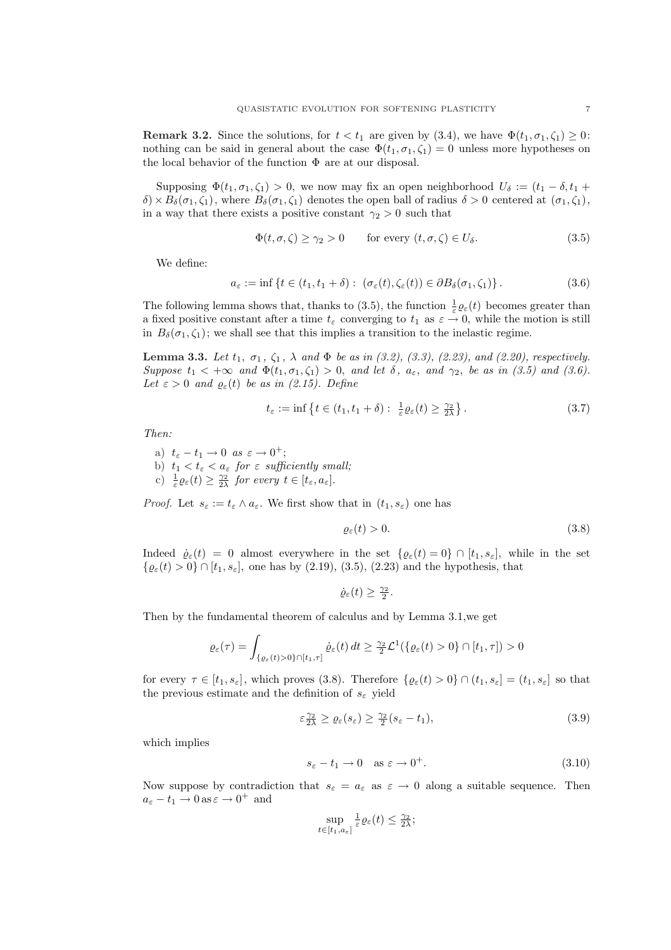**Remark 3.2.** Since the solutions, for  $t < t_1$  are given by (3.4), we have  $\Phi(t_1, \sigma_1, \zeta_1) \geq 0$ : nothing can be said in general about the case  $\Phi(t_1, \sigma_1, \zeta_1) = 0$  unless more hypotheses on the local behavior of the function  $\Phi$  are at our disposal.

Supposing  $\Phi(t_1, \sigma_1, \zeta_1) > 0$ , we now may fix an open neighborhood  $U_{\delta} := (t_1 - \delta, t_1 + \delta)$  $\delta$ ) ×  $B_{\delta}(\sigma_1, \zeta_1)$ , where  $B_{\delta}(\sigma_1, \zeta_1)$  denotes the open ball of radius  $\delta > 0$  centered at  $(\sigma_1, \zeta_1)$ , in a way that there exists a positive constant  $\gamma_2 > 0$  such that

$$
\Phi(t,\sigma,\zeta) \ge \gamma_2 > 0 \qquad \text{for every } (t,\sigma,\zeta) \in U_\delta. \tag{3.5}
$$

We define:

$$
a_{\varepsilon} := \inf \left\{ t \in (t_1, t_1 + \delta) : \ (\sigma_{\varepsilon}(t), \zeta_{\varepsilon}(t)) \in \partial B_{\delta}(\sigma_1, \zeta_1) \right\}.
$$
 (3.6)

The following lemma shows that, thanks to (3.5), the function  $\frac{1}{\varepsilon}\varrho_{\varepsilon}(t)$  becomes greater than a fixed positive constant after a time  $t_{\varepsilon}$  converging to  $t_1$  as  $\varepsilon \to 0$ , while the motion is still in  $B_\delta(\sigma_1,\zeta_1)$ ; we shall see that this implies a transition to the inelastic regime.

**Lemma 3.3.** Let  $t_1$ ,  $\sigma_1$ ,  $\zeta_1$ ,  $\lambda$  and  $\Phi$  be as in (3.2), (3.3), (2.23), and (2.20), respectively. Suppose  $t_1 < +\infty$  and  $\Phi(t_1, \sigma_1, \zeta_1) > 0$ , and let  $\delta$ ,  $a_{\varepsilon}$ , and  $\gamma_2$ , be as in (3.5) and (3.6). Let  $\varepsilon > 0$  and  $\varrho_{\varepsilon}(t)$  be as in (2.15). Define

$$
t_{\varepsilon} := \inf \left\{ t \in (t_1, t_1 + \delta) : \frac{1}{\varepsilon} \varrho_{\varepsilon}(t) \ge \frac{\gamma_2}{2\lambda} \right\}.
$$
 (3.7)

Then:

- a)  $t_{\varepsilon} t_1 \to 0 \text{ as } \varepsilon \to 0^+;$
- b)  $t_1 < t_\varepsilon < a_\varepsilon$  for  $\varepsilon$  sufficiently small;
- c)  $\frac{1}{\varepsilon}\varrho_{\varepsilon}(t) \geq \frac{\gamma_2}{2\lambda}$  for every  $t \in [t_{\varepsilon}, a_{\varepsilon}].$

*Proof.* Let  $s_{\varepsilon} := t_{\varepsilon} \wedge a_{\varepsilon}$ . We first show that in  $(t_1, s_{\varepsilon})$  one has

$$
\varrho_{\varepsilon}(t) > 0. \tag{3.8}
$$

Indeed  $\dot{\varrho}_{\varepsilon}(t) = 0$  almost everywhere in the set  $\{\varrho_{\varepsilon}(t) = 0\} \cap [t_1, s_{\varepsilon}]$ , while in the set  $\{\varrho_{\varepsilon}(t) > 0\} \cap [t_1, s_{\varepsilon}],$  one has by (2.19), (3.5), (2.23) and the hypothesis, that

$$
\dot{\varrho}_{\varepsilon}(t) \geq \tfrac{\gamma_2}{2}.
$$

Then by the fundamental theorem of calculus and by Lemma 3.1,we get

$$
\varrho_{\varepsilon}(\tau) = \int_{\{\varrho_{\varepsilon}(t) > 0\} \cap [t_1, \tau]} \dot{\varrho}_{\varepsilon}(t) dt \geq \frac{\gamma_2}{2} \mathcal{L}^1(\{\varrho_{\varepsilon}(t) > 0\} \cap [t_1, \tau]) > 0
$$

for every  $\tau \in [t_1, s_\varepsilon]$ , which proves (3.8). Therefore  $\{ \varrho_\varepsilon(t) > 0 \} \cap (t_1, s_\varepsilon] = (t_1, s_\varepsilon]$  so that the previous estimate and the definition of  $s_{\varepsilon}$  yield

$$
\varepsilon \frac{\gamma_2}{2\lambda} \ge \varrho_\varepsilon(s_\varepsilon) \ge \frac{\gamma_2}{2}(s_\varepsilon - t_1),\tag{3.9}
$$

which implies

$$
s_{\varepsilon} - t_1 \to 0 \quad \text{as } \varepsilon \to 0^+.
$$
\n(3.10)

Now suppose by contradiction that  $s_{\varepsilon} = a_{\varepsilon}$  as  $\varepsilon \to 0$  along a suitable sequence. Then  $a_{\varepsilon} - t_1 \to 0$  as  $\varepsilon \to 0^+$  and

$$
\sup_{t\in[t_1,a_\varepsilon]}\tfrac{1}{\varepsilon}\varrho_\varepsilon(t)\leq \tfrac{\gamma_2}{2\lambda};
$$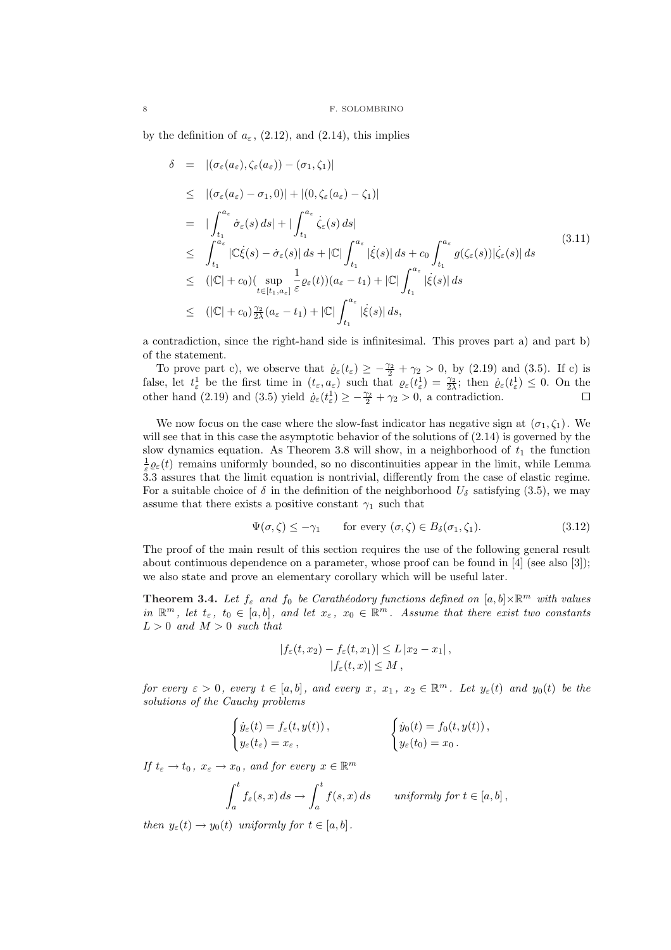by the definition of  $a_{\varepsilon}$ , (2.12), and (2.14), this implies

$$
\delta = |(\sigma_{\varepsilon}(a_{\varepsilon}), \zeta_{\varepsilon}(a_{\varepsilon})) - (\sigma_{1}, \zeta_{1})|
$$
\n
$$
\leq |(\sigma_{\varepsilon}(a_{\varepsilon}) - \sigma_{1}, 0)| + |(0, \zeta_{\varepsilon}(a_{\varepsilon}) - \zeta_{1})|
$$
\n
$$
= | \int_{t_{1}}^{a_{\varepsilon}} \dot{\sigma}_{\varepsilon}(s) ds | + | \int_{t_{1}}^{a_{\varepsilon}} \dot{\zeta}_{\varepsilon}(s) ds |
$$
\n
$$
\leq \int_{t_{1}}^{a_{\varepsilon}} |\mathbb{C}\dot{\xi}(s) - \dot{\sigma}_{\varepsilon}(s)| ds + |\mathbb{C}| \int_{t_{1}}^{a_{\varepsilon}} |\dot{\xi}(s)| ds + c_{0} \int_{t_{1}}^{a_{\varepsilon}} g(\zeta_{\varepsilon}(s)) |\dot{\zeta}_{\varepsilon}(s)| ds
$$
\n
$$
\leq (|\mathbb{C}| + c_{0}) (\sup_{t \in [t_{1}, a_{\varepsilon}]} \frac{1}{\varepsilon} \varrho_{\varepsilon}(t)) (a_{\varepsilon} - t_{1}) + |\mathbb{C}| \int_{t_{1}}^{a_{\varepsilon}} |\dot{\xi}(s)| ds
$$
\n
$$
\leq (|\mathbb{C}| + c_{0}) \frac{\gamma_{2}}{2\lambda} (a_{\varepsilon} - t_{1}) + |\mathbb{C}| \int_{t_{1}}^{a_{\varepsilon}} |\dot{\xi}(s)| ds,
$$
\n
$$
(1 + c_{0}) \frac{\gamma_{2}}{2\lambda} (a_{\varepsilon} - t_{1}) + |\mathbb{C}| \int_{t_{1}}^{a_{\varepsilon}} |\dot{\xi}(s)| ds,
$$
\n
$$
(1 + c_{0}) \frac{\gamma_{2}}{2\lambda} (a_{\varepsilon} - t_{1}) + |\mathbb{C}| \int_{t_{1}}^{a_{\varepsilon}} |\dot{\xi}(s)| ds + |\mathbb{C}| \int_{t_{1}}^{a_{\varepsilon}} |\dot{\xi}(s)| ds
$$
\n
$$
(1 + c_{0}) \frac{\gamma_{2}}{2\lambda} (a_{\varepsilon} - t_{1}) + |\mathbb{C}| \int_{t_{1}}^{a_{\varepsilon}} |\dot{\xi}(s)| ds + |\mathbb{C}| \int_{t_{1}}^{
$$

a contradiction, since the right-hand side is infinitesimal. This proves part a) and part b) of the statement.

To prove part c), we observe that  $\dot{\varrho}_{\varepsilon}(t_{\varepsilon}) \geq -\frac{\gamma_2}{2} + \gamma_2 > 0$ , by (2.19) and (3.5). If c) is false, let  $t_{\varepsilon}$  be the first time in  $(t_{\varepsilon}, a_{\varepsilon})$  such that  $\varrho_{\varepsilon}(t_{\varepsilon}^1) = \frac{\gamma_2}{2\lambda}$ ; then  $\varrho_{\varepsilon}(t_{\varepsilon}^1) \leq 0$ . On the other hand (2.19) and (3.5) yield  $\varrho_{\varepsilon}(t_{\varepsilon}^1) \geq -\frac{\gamma_2}{2} + \gamma_2 > 0$ , a contradiction.

We now focus on the case where the slow-fast indicator has negative sign at  $(\sigma_1, \zeta_1)$ . We will see that in this case the asymptotic behavior of the solutions of (2.14) is governed by the slow dynamics equation. As Theorem 3.8 will show, in a neighborhood of  $t_1$  the function  $\frac{1}{\varepsilon}\varrho_{\varepsilon}(t)$  remains uniformly bounded, so no discontinuities appear in the limit, while Lemma 3.3 assures that the limit equation is nontrivial, differently from the case of elastic regime. For a suitable choice of  $\delta$  in the definition of the neighborhood  $U_{\delta}$  satisfying (3.5), we may assume that there exists a positive constant  $\gamma_1$  such that

$$
\Psi(\sigma,\zeta) \le -\gamma_1 \qquad \text{for every } (\sigma,\zeta) \in B_\delta(\sigma_1,\zeta_1). \tag{3.12}
$$

The proof of the main result of this section requires the use of the following general result about continuous dependence on a parameter, whose proof can be found in [4] (see also [3]); we also state and prove an elementary corollary which will be useful later.

**Theorem 3.4.** Let  $f_{\varepsilon}$  and  $f_0$  be Carathéodory functions defined on  $[a, b] \times \mathbb{R}^m$  with values in  $\mathbb{R}^m$ , let  $t_{\varepsilon}$ ,  $t_0 \in [a, b]$ , and let  $x_{\varepsilon}$ ,  $x_0 \in \mathbb{R}^m$ . Assume that there exist two constants  $L > 0$  and  $M > 0$  such that

$$
|f_{\varepsilon}(t,x_2) - f_{\varepsilon}(t,x_1)| \le L |x_2 - x_1|,
$$
  

$$
|f_{\varepsilon}(t,x)| \le M,
$$

for every  $\varepsilon > 0$ , every  $t \in [a, b]$ , and every  $x, x_1, x_2 \in \mathbb{R}^m$ . Let  $y_{\varepsilon}(t)$  and  $y_0(t)$  be the solutions of the Cauchy problems

$$
\begin{cases} \dot{y}_{\varepsilon}(t) = f_{\varepsilon}(t, y(t)), \\ y_{\varepsilon}(t_{\varepsilon}) = x_{\varepsilon}, \end{cases} \qquad \qquad \begin{cases} \dot{y}_{0}(t) = f_{0}(t, y(t)), \\ y_{\varepsilon}(t_{0}) = x_{0}. \end{cases}
$$

If  $t_{\varepsilon} \to t_0$ ,  $x_{\varepsilon} \to x_0$ , and for every  $x \in \mathbb{R}^m$ 

$$
\int_a^t f_{\varepsilon}(s,x) \, ds \to \int_a^t f(s,x) \, ds \qquad \text{uniformly for } t \in [a,b] \, ,
$$

then  $y_{\varepsilon}(t) \to y_0(t)$  uniformly for  $t \in [a, b]$ .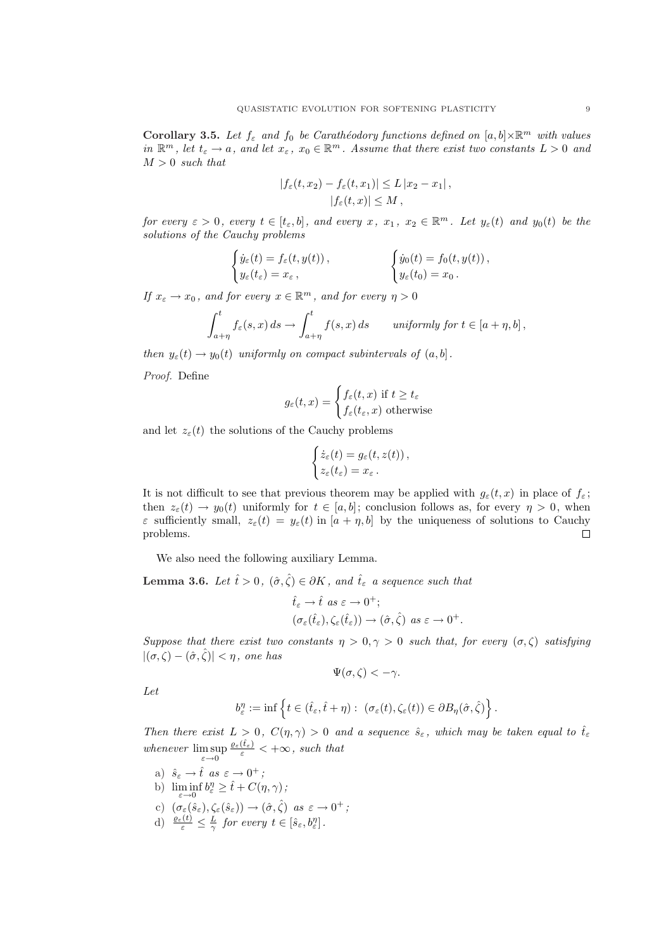Corollary 3.5. Let  $f_{\varepsilon}$  and  $f_0$  be Carathéodory functions defined on  $[a, b] \times \mathbb{R}^m$  with values in  $\mathbb{R}^m$ , let  $t_\varepsilon \to a$ , and let  $x_\varepsilon$ ,  $x_0 \in \mathbb{R}^m$ . Assume that there exist two constants  $L > 0$  and  $M > 0$  such that

$$
|f_{\varepsilon}(t,x_2) - f_{\varepsilon}(t,x_1)| \le L |x_2 - x_1|,
$$
  

$$
|f_{\varepsilon}(t,x)| \le M,
$$

for every  $\varepsilon > 0$ , every  $t \in [t_{\varepsilon}, b]$ , and every  $x, x_1, x_2 \in \mathbb{R}^m$ . Let  $y_{\varepsilon}(t)$  and  $y_0(t)$  be the solutions of the Cauchy problems

$$
\begin{cases} \dot{y}_{\varepsilon}(t) = f_{\varepsilon}(t, y(t)), \\ y_{\varepsilon}(t_{\varepsilon}) = x_{\varepsilon}, \end{cases} \qquad \qquad \begin{cases} \dot{y}_{0}(t) = f_{0}(t, y(t)), \\ y_{\varepsilon}(t_{0}) = x_{0}. \end{cases}
$$

If  $x_{\varepsilon} \to x_0$ , and for every  $x \in \mathbb{R}^m$ , and for every  $\eta > 0$ 

$$
\int_{a+\eta}^t f_{\varepsilon}(s,x)\,ds \to \int_{a+\eta}^t f(s,x)\,ds \qquad \textit{uniformly for } t\in [a+\eta,b]\,,
$$

then  $y_{\varepsilon}(t) \to y_0(t)$  uniformly on compact subintervals of  $(a, b]$ .

Proof. Define

$$
g_{\varepsilon}(t,x) = \begin{cases} f_{\varepsilon}(t,x) & \text{if } t \ge t_{\varepsilon} \\ f_{\varepsilon}(t_{\varepsilon},x) & \text{otherwise} \end{cases}
$$

and let  $z_{\varepsilon}(t)$  the solutions of the Cauchy problems

$$
\begin{cases} \dot{z}_{\varepsilon}(t) = g_{\varepsilon}(t, z(t)), \\ z_{\varepsilon}(t_{\varepsilon}) = x_{\varepsilon} \, . \end{cases}
$$

It is not difficult to see that previous theorem may be applied with  $g_{\varepsilon}(t, x)$  in place of  $f_{\varepsilon}$ ; then  $z_{\varepsilon}(t) \to y_0(t)$  uniformly for  $t \in [a, b]$ ; conclusion follows as, for every  $\eta > 0$ , when  $\varepsilon$  sufficiently small,  $z_{\varepsilon}(t) = y_{\varepsilon}(t)$  in  $[a + \eta, b]$  by the uniqueness of solutions to Cauchy problems.  $\Box$ 

We also need the following auxiliary Lemma.

**Lemma 3.6.** Let  $\hat{t} > 0$ ,  $(\hat{\sigma}, \hat{\zeta}) \in \partial K$ , and  $\hat{t}_{\varepsilon}$  a sequence such that

$$
\begin{aligned}\n\hat{t}_{\varepsilon} \to \hat{t} \text{ as } \varepsilon \to 0^+; \\
(\sigma_{\varepsilon}(\hat{t}_{\varepsilon}), \zeta_{\varepsilon}(\hat{t}_{\varepsilon})) \to (\hat{\sigma}, \hat{\zeta}) \text{ as } \varepsilon \to 0^+.\n\end{aligned}
$$

Suppose that there exist two constants  $\eta > 0, \gamma > 0$  such that, for every  $(\sigma, \zeta)$  satisfying  $|(\sigma,\zeta) - (\hat{\sigma},\hat{\zeta})| < \eta$ , one has

$$
\Psi(\sigma,\zeta)<-\gamma.
$$

Let

$$
b_{\varepsilon}^{\eta} := \inf \left\{ t \in (\hat{t}_{\varepsilon}, \hat{t} + \eta) : \ (\sigma_{\varepsilon}(t), \zeta_{\varepsilon}(t)) \in \partial B_{\eta}(\hat{\sigma}, \hat{\zeta}) \right\}.
$$

Then there exist  $L > 0$ ,  $C(\eta, \gamma) > 0$  and a sequence  $\hat{s}_{\varepsilon}$ , which may be taken equal to  $\hat{t}_{\varepsilon}$ whenever  $\limsup_{\varepsilon \to 0}$  $\frac{\varrho_{\varepsilon}(\hat{t}_{\varepsilon})}{\varepsilon} < +\infty$ , such that

- a)  $\hat{s}_{\varepsilon} \to \hat{t}$  as  $\varepsilon \to 0^+$ ;
- b)  $\liminf_{\varepsilon \to 0} b_{\varepsilon}^{\eta} \geq \hat{t} + C(\eta, \gamma);$
- c)  $(\sigma_{\varepsilon}(\hat{s}_{\varepsilon}), \zeta_{\varepsilon}(\hat{s}_{\varepsilon})) \to (\hat{\sigma}, \hat{\zeta})$  as  $\varepsilon \to 0^+$ ;
- d)  $\frac{\varrho_{\varepsilon}(t)}{\varepsilon} \leq \frac{L}{\gamma}$  for every  $t \in [\hat{s}_{\varepsilon}, b_{\varepsilon}^{\eta}].$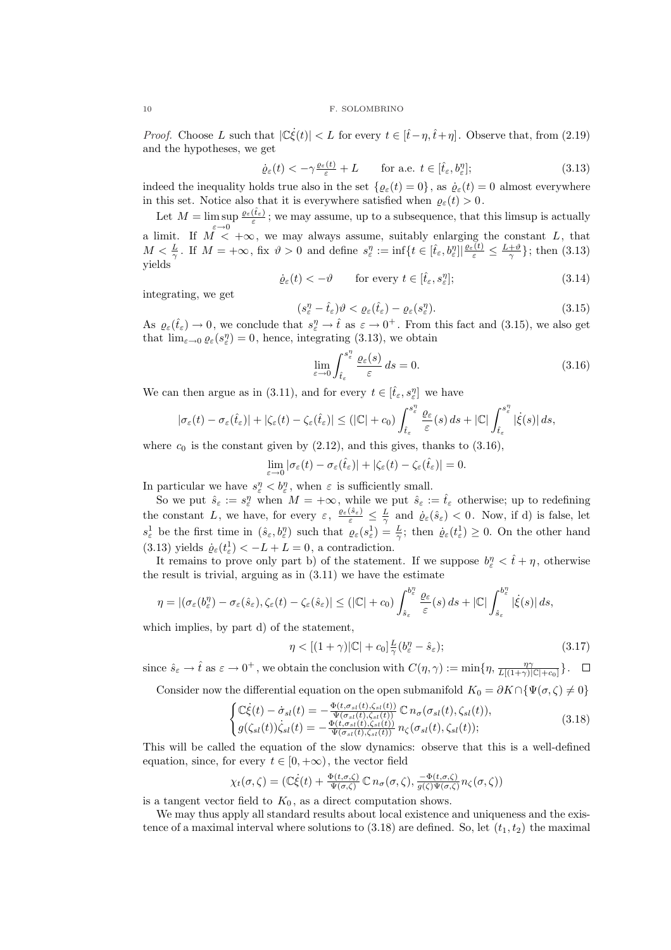*Proof.* Choose L such that  $|\mathbb{C}\dot{\xi}(t)| < L$  for every  $t \in [\hat{t} - \eta, \hat{t} + \eta]$ . Observe that, from (2.19) and the hypotheses, we get

$$
\dot{\varrho}_{\varepsilon}(t) < -\gamma \frac{\varrho_{\varepsilon}(t)}{\varepsilon} + L \qquad \text{for a.e. } t \in [\hat{t}_{\varepsilon}, b_{\varepsilon}^{\eta}]; \tag{3.13}
$$

indeed the inequality holds true also in the set  $\{\varrho_{\varepsilon}(t) = 0\}$ , as  $\dot{\varrho}_{\varepsilon}(t) = 0$  almost everywhere in this set. Notice also that it is everywhere satisfied when  $\varrho_{\varepsilon}(t) > 0$ .

Let  $M = \limsup_{\epsilon \to 0} \frac{\varrho_{\epsilon}(\hat{t}_{\epsilon})}{\epsilon}$ ; we may assume, up to a subsequence, that this limsup is actually  $\limsup_{\varepsilon\to 0} \frac{\varepsilon}{\varepsilon}$ a limit. If  $M < +\infty$ , we may always assume, suitably enlarging the constant L, that  $M < \frac{L}{\gamma}$ . If  $M = +\infty$ , fix  $\vartheta > 0$  and define  $s_{\varepsilon}^{\eta} := \inf\{t \in [\hat{t}_{\varepsilon}, b_{\varepsilon}^{\eta}] | \frac{\varrho_{\varepsilon}(t)}{\varepsilon} \leq \frac{L+\vartheta}{\gamma}\}\;$ ; then (3.13) yields

$$
\dot{\varrho}_{\varepsilon}(t) < -\vartheta \qquad \text{for every } t \in [\hat{t}_{\varepsilon}, s_{\varepsilon}^{\eta}]; \tag{3.14}
$$

integrating, we get

$$
(s_{\varepsilon}^{\eta} - \hat{t}_{\varepsilon})\vartheta < \varrho_{\varepsilon}(\hat{t}_{\varepsilon}) - \varrho_{\varepsilon}(s_{\varepsilon}^{\eta}).\tag{3.15}
$$

As  $\varrho_{\varepsilon}(\hat{t}_{\varepsilon}) \to 0$ , we conclude that  $s_{\varepsilon}^{\eta} \to \hat{t}$  as  $\varepsilon \to 0^{+}$ . From this fact and (3.15), we also get that  $\lim_{\varepsilon \to 0} \varrho_{\varepsilon}(s_{\varepsilon}^{\eta}) = 0$ , hence, integrating (3.13), we obtain

$$
\lim_{\varepsilon \to 0} \int_{\hat{t}_{\varepsilon}}^{s_{\varepsilon}^{\eta}} \frac{\varrho_{\varepsilon}(s)}{\varepsilon} ds = 0.
$$
\n(3.16)

We can then argue as in (3.11), and for every  $t \in [\hat{t}_{\varepsilon}, s_{\varepsilon}^{\eta}]$  we have

$$
|\sigma_{\varepsilon}(t)-\sigma_{\varepsilon}(\hat{t}_{\varepsilon})|+|\zeta_{\varepsilon}(t)-\zeta_{\varepsilon}(\hat{t}_{\varepsilon})|\leq (|\mathbb{C}|+c_0)\int_{\hat{t}_{\varepsilon}}^{s_{\varepsilon}^{\eta}}\frac{\varrho_{\varepsilon}}{\varepsilon}(s)\,ds+|\mathbb{C}|\int_{\hat{t}_{\varepsilon}}^{s_{\varepsilon}^{\eta}}|\dot{\xi}(s)|\,ds,
$$

where  $c_0$  is the constant given by (2.12), and this gives, thanks to (3.16),

$$
\lim_{\varepsilon \to 0} |\sigma_{\varepsilon}(t) - \sigma_{\varepsilon}(\hat{t}_{\varepsilon})| + |\zeta_{\varepsilon}(t) - \zeta_{\varepsilon}(\hat{t}_{\varepsilon})| = 0.
$$

In particular we have  $s_{\varepsilon}^{\eta} < b_{\varepsilon}^{\eta}$ , when  $\varepsilon$  is sufficiently small.

So we put  $\hat{s}_{\varepsilon} := s_{\varepsilon}^{\eta}$  when  $M = +\infty$ , while we put  $\hat{s}_{\varepsilon} := \hat{t}_{\varepsilon}$  otherwise; up to redefining the constant L, we have, for every  $\varepsilon$ ,  $\frac{\varrho_{\varepsilon}(\hat{s}_{\varepsilon})}{\varepsilon} \leq \frac{L}{\gamma}$  and  $\dot{\varrho}_{\varepsilon}(\hat{s}_{\varepsilon}) < 0$ . Now, if d) is false, let  $s_{\varepsilon}^1$  be the first time in  $(\hat{s}_{\varepsilon}, b_{\varepsilon}^{\eta})$  such that  $\varrho_{\varepsilon}(s_{\varepsilon}^1) = \frac{L}{\gamma}$ ; then  $\dot{\varrho}_{\varepsilon}(t_{\varepsilon}^1) \geq 0$ . On the other hand (3.13) yields  $\dot{\varrho}_\varepsilon(t_\varepsilon^1) < -L + L = 0$ , a contradiction.

It remains to prove only part b) of the statement. If we suppose  $b_{\varepsilon}^{\eta} < \hat{t} + \eta$ , otherwise the result is trivial, arguing as in (3.11) we have the estimate

$$
\eta=|(\sigma_{\varepsilon}(b^{\eta}_{\varepsilon})-\sigma_{\varepsilon}(\hat{s}_{\varepsilon}),\zeta_{\varepsilon}(t)-\zeta_{\varepsilon}(\hat{s}_{\varepsilon})|\leq (|\mathbb{C}|+c_0)\int_{\hat{s}_{\varepsilon}}^{b^{\eta}_{\varepsilon}}\frac{\varrho_{\varepsilon}}{\varepsilon}(s)\,ds+|\mathbb{C}|\int_{\hat{s}_{\varepsilon}}^{b^{\eta}_{\varepsilon}}|\dot{\xi}(s)|\,ds,
$$

which implies, by part d) of the statement,

$$
\eta < \left[ (1+\gamma) |\mathbb{C}| + c_0 \right] \frac{L}{\gamma} (b_\varepsilon^\eta - \hat{s}_\varepsilon); \tag{3.17}
$$

since  $\hat{s}_{\varepsilon} \to \hat{t}$  as  $\varepsilon \to 0^+$ , we obtain the conclusion with  $C(\eta, \gamma) := \min\{\eta, \frac{\eta \gamma}{L[(1+\gamma)|\mathbb{C}|+c_0]}\}.$ 

Consider now the differential equation on the open submanifold  $K_0 = \partial K \cap {\Psi(\sigma, \zeta) \neq 0}$ 

$$
\begin{cases}\n\mathbb{C}\dot{\xi}(t) - \dot{\sigma}_{sl}(t) = -\frac{\Phi(t,\sigma_{sl}(t),\zeta_{sl}(t))}{\Psi(\sigma_{sl}(t),\zeta_{sl}(t))} \mathbb{C} \, n_{\sigma}(\sigma_{sl}(t),\zeta_{sl}(t)), \\
g(\zeta_{sl}(t))\dot{\zeta}_{sl}(t) = -\frac{\Phi(t,\sigma_{sl}(t),\zeta_{sl}(t))}{\Psi(\sigma_{sl}(t),\zeta_{sl}(t))} \, n_{\zeta}(\sigma_{sl}(t),\zeta_{sl}(t));\n\end{cases} \tag{3.18}
$$

This will be called the equation of the slow dynamics: observe that this is a well-defined equation, since, for every  $t \in [0, +\infty)$ , the vector field

$$
\chi_t(\sigma,\zeta) = (\mathbb{C}\dot{\xi}(t) + \frac{\Phi(t,\sigma,\zeta)}{\Psi(\sigma,\zeta)} \mathbb{C} n_{\sigma}(\sigma,\zeta), \frac{-\Phi(t,\sigma,\zeta)}{g(\zeta)\Psi(\sigma,\zeta)} n_{\zeta}(\sigma,\zeta))
$$

is a tangent vector field to  $K_0$ , as a direct computation shows.

We may thus apply all standard results about local existence and uniqueness and the existence of a maximal interval where solutions to  $(3.18)$  are defined. So, let  $(t_1, t_2)$  the maximal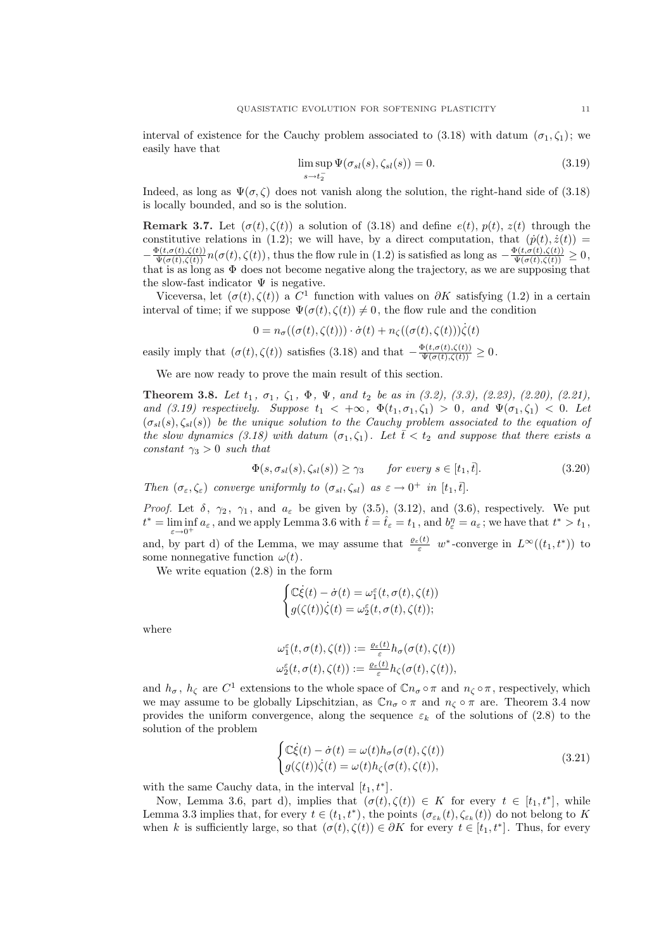interval of existence for the Cauchy problem associated to (3.18) with datum  $(\sigma_1, \zeta_1)$ ; we easily have that

$$
\limsup_{s \to t_2^-} \Psi(\sigma_{sl}(s), \zeta_{sl}(s)) = 0.
$$
\n(3.19)

Indeed, as long as  $\Psi(\sigma,\zeta)$  does not vanish along the solution, the right-hand side of (3.18) is locally bounded, and so is the solution.

Remark 3.7. Let  $(\sigma(t), \zeta(t))$  a solution of (3.18) and define  $e(t)$ ,  $p(t)$ ,  $z(t)$  through the constitutive relations in (1.2); we will have, by a direct computation, that  $(p(t), \dot{z}(t))$  =  $-\frac{\Phi(t,\sigma(t),\zeta(t))}{\Psi(\sigma(t),\zeta(t))}n(\sigma(t),\zeta(t))$ , thus the flow rule in (1.2) is satisfied as long as  $-\frac{\Phi(t,\sigma(t),\zeta(t))}{\Psi(\sigma(t),\zeta(t))}\geq 0$ , that is as long as  $\Phi$  does not become negative along the trajectory, as we are supposing that the slow-fast indicator  $\Psi$  is negative.

Viceversa, let  $(\sigma(t), \zeta(t))$  a C<sup>1</sup> function with values on  $\partial K$  satisfying (1.2) in a certain interval of time; if we suppose  $\Psi(\sigma(t), \zeta(t)) \neq 0$ , the flow rule and the condition

$$
0 = n_{\sigma}((\sigma(t), \zeta(t))) \cdot \dot{\sigma}(t) + n_{\zeta}((\sigma(t), \zeta(t)))\dot{\zeta}(t)
$$

easily imply that  $(\sigma(t), \zeta(t))$  satisfies (3.18) and that  $-\frac{\Phi(t, \sigma(t), \zeta(t))}{\Psi(\sigma(t), \zeta(t))} \geq 0$ .

We are now ready to prove the main result of this section.

**Theorem 3.8.** Let  $t_1$ ,  $\sigma_1$ ,  $\zeta_1$ ,  $\Phi$ ,  $\Psi$ , and  $t_2$  be as in (3.2), (3.3), (2.23), (2.20), (2.21), and (3.19) respectively. Suppose  $t_1 < +\infty$ ,  $\Phi(t_1, \sigma_1, \zeta_1) > 0$ , and  $\Psi(\sigma_1, \zeta_1) < 0$ . Let  $(\sigma_{sl}(s), \zeta_{sl}(s))$  be the unique solution to the Cauchy problem associated to the equation of the slow dynamics (3.18) with datum  $(\sigma_1, \zeta_1)$ . Let  $\overline{t} < t_2$  and suppose that there exists a constant  $\gamma_3 > 0$  such that

 $\Phi(s, \sigma_{sl}(s), \zeta_{sl}(s)) \geq \gamma_3$  for every  $s \in [t_1, \bar{t}].$  (3.20)

Then  $(\sigma_{\varepsilon}, \zeta_{\varepsilon})$  converge uniformly to  $(\sigma_{sl}, \zeta_{sl})$  as  $\varepsilon \to 0^+$  in  $[t_1, \bar{t}].$ 

 $\overline{ }$ 

*Proof.* Let  $\delta$ ,  $\gamma_2$ ,  $\gamma_1$ , and  $a_{\varepsilon}$  be given by (3.5), (3.12), and (3.6), respectively. We put  $t^* = \liminf_{\varepsilon \to 0^+} a_{\varepsilon}$ , and we apply Lemma 3.6 with  $\hat{t} = \hat{t}_{\varepsilon} = t_1$ , and  $b_{\varepsilon}^{\eta} = a_{\varepsilon}$ ; we have that  $t^* > t_1$ ,

and, by part d) of the Lemma, we may assume that  $\frac{\varrho_{\varepsilon}(t)}{\varepsilon}$  w<sup>\*</sup>-converge in  $L^{\infty}((t_1, t^*))$  to some nonnegative function  $\omega(t)$ .

We write equation (2.8) in the form

$$
\begin{cases} \mathbb{C}\dot{\xi}(t) - \dot{\sigma}(t) = \omega_1^{\varepsilon}(t, \sigma(t), \zeta(t)) \\ g(\zeta(t))\dot{\zeta}(t) = \omega_2^{\varepsilon}(t, \sigma(t), \zeta(t)); \end{cases}
$$

where

$$
\begin{aligned} \omega_1^{\varepsilon}(t,\sigma(t),\zeta(t)) := \frac{\varrho_{\varepsilon}(t)}{\varepsilon}h_{\sigma}(\sigma(t),\zeta(t)) \\ \omega_2^{\varepsilon}(t,\sigma(t),\zeta(t)) := \frac{\varrho_{\varepsilon}(t)}{\varepsilon}h_{\zeta}(\sigma(t),\zeta(t)), \end{aligned}
$$

and  $h_{\sigma}$ ,  $h_{\zeta}$  are  $C^1$  extensions to the whole space of  $\mathbb{C}n_{\sigma}\circ\pi$  and  $n_{\zeta}\circ\pi$ , respectively, which we may assume to be globally Lipschitzian, as  $\mathbb{C}n_{\sigma} \circ \pi$  and  $n_{\zeta} \circ \pi$  are. Theorem 3.4 now provides the uniform convergence, along the sequence  $\varepsilon_k$  of the solutions of (2.8) to the solution of the problem

$$
\begin{cases}\n\mathbb{C}\dot{\xi}(t) - \dot{\sigma}(t) = \omega(t)h_{\sigma}(\sigma(t), \zeta(t)) \\
g(\zeta(t))\dot{\zeta}(t) = \omega(t)h_{\zeta}(\sigma(t), \zeta(t)),\n\end{cases}
$$
\n(3.21)

with the same Cauchy data, in the interval  $[t_1, t^*]$ .

Now, Lemma 3.6, part d), implies that  $(\sigma(t), \zeta(t)) \in K$  for every  $t \in [t_1, t^*]$ , while Lemma 3.3 implies that, for every  $t \in (t_1, t^*)$ , the points  $(\sigma_{\varepsilon_k}(t), \zeta_{\varepsilon_k}(t))$  do not belong to K when k is sufficiently large, so that  $(\sigma(t), \zeta(t)) \in \partial K$  for every  $t \in [t_1, t^*]$ . Thus, for every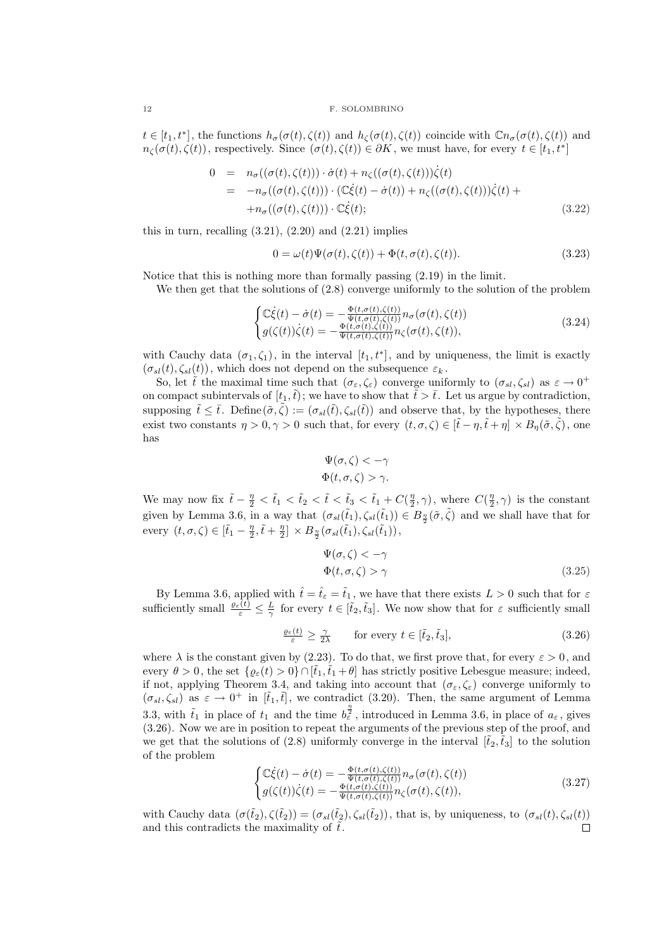$t \in [t_1, t^*],$  the functions  $h_{\sigma}(\sigma(t), \zeta(t))$  and  $h_{\zeta}(\sigma(t), \zeta(t))$  coincide with  $\mathbb{C}n_{\sigma}(\sigma(t), \zeta(t))$  and  $n_{\zeta}(\sigma(t), \zeta(t))$ , respectively. Since  $(\sigma(t), \zeta(t)) \in \partial K$ , we must have, for every  $t \in [t_1, t^*]$ 

$$
0 = n_{\sigma}((\sigma(t), \zeta(t))) \cdot \dot{\sigma}(t) + n_{\zeta}((\sigma(t), \zeta(t)))\dot{\zeta}(t)
$$
  
\n
$$
= -n_{\sigma}((\sigma(t), \zeta(t))) \cdot (\mathbb{C}\dot{\xi}(t) - \dot{\sigma}(t)) + n_{\zeta}((\sigma(t), \zeta(t)))\dot{\zeta}(t) +
$$
  
\n
$$
+ n_{\sigma}((\sigma(t), \zeta(t))) \cdot \mathbb{C}\dot{\xi}(t); \qquad (3.22)
$$

this in turn, recalling  $(3.21)$ ,  $(2.20)$  and  $(2.21)$  implies

$$
0 = \omega(t)\Psi(\sigma(t), \zeta(t)) + \Phi(t, \sigma(t), \zeta(t)).
$$
\n(3.23)

Notice that this is nothing more than formally passing (2.19) in the limit.

We then get that the solutions of (2.8) converge uniformly to the solution of the problem

$$
\begin{cases}\n\mathbb{C}\dot{\xi}(t) - \dot{\sigma}(t) = -\frac{\Phi(t, \sigma(t), \zeta(t))}{\Psi(t, \sigma(t), \zeta(t))} n_{\sigma}(\sigma(t), \zeta(t)) \\
g(\zeta(t))\dot{\zeta}(t) = -\frac{\Phi(t, \sigma(t), \zeta(t))}{\Psi(t, \sigma(t), \zeta(t))} n_{\zeta}(\sigma(t), \zeta(t)),\n\end{cases}
$$
\n(3.24)

with Cauchy data  $(\sigma_1, \zeta_1)$ , in the interval  $[t_1, t^*]$ , and by uniqueness, the limit is exactly  $(\sigma_{sl}(t), \zeta_{sl}(t))$ , which does not depend on the subsequence  $\varepsilon_k$ .

So, let  $\tilde{t}$  the maximal time such that  $(\sigma_{\varepsilon}, \zeta_{\varepsilon})$  converge uniformly to  $(\sigma_{sl}, \zeta_{sl})$  as  $\varepsilon \to 0^+$ on compact subintervals of  $[t_1,\tilde{t})$ ; we have to show that  $\tilde{t} > \bar{t}$ . Let us argue by contradiction, supposing  $\tilde{t} \leq \bar{t}$ . Define  $(\tilde{\sigma}, \tilde{\zeta}) := (\sigma_{sl}(\tilde{t}), \zeta_{sl}(\tilde{t}))$  and observe that, by the hypotheses, there exist two constants  $\eta > 0$ ,  $\gamma > 0$  such that, for every  $(t, \sigma, \zeta) \in [\tilde{t} - \eta, \tilde{t} + \eta] \times B_n(\tilde{\sigma}, \tilde{\zeta})$ , one has

$$
\Psi(\sigma,\zeta) < -\gamma
$$
  

$$
\Phi(t,\sigma,\zeta) > \gamma.
$$

We may now fix  $\tilde{t} - \frac{\eta}{2} < \tilde{t}_1 < \tilde{t}_2 < \tilde{t} < \tilde{t}_3 < \tilde{t}_1 + C(\frac{\eta}{2}, \gamma)$ , where  $C(\frac{\eta}{2}, \gamma)$  is the constant given by Lemma 3.6, in a way that  $(\sigma_{sl}(\tilde{t}_1), \zeta_{sl}(\tilde{t}_1)) \in B_{\frac{\eta}{2}}(\tilde{\sigma}, \tilde{\zeta})$  and we shall have that for every  $(t, \sigma, \zeta) \in [\tilde{t}_1 - \frac{\eta}{2}, \tilde{t} + \frac{\eta}{2}] \times B_{\frac{\eta}{2}}(\sigma_{sl}(\tilde{t}_1), \zeta_{sl}(\tilde{t}_1)),$ 

$$
\Psi(\sigma,\zeta) < -\gamma
$$
\n
$$
\Phi(t,\sigma,\zeta) > \gamma \tag{3.25}
$$

By Lemma 3.6, applied with  $\hat{t} = \hat{t}_{\epsilon} = \tilde{t}_1$ , we have that there exists  $L > 0$  such that for  $\epsilon$ sufficiently small  $\frac{\varrho_{\varepsilon}(t)}{\varepsilon} \leq \frac{L}{\gamma}$  for every  $t \in [\tilde{t}_2, \tilde{t}_3]$ . We now show that for  $\varepsilon$  sufficiently small

$$
\frac{\varrho_{\varepsilon}(t)}{\varepsilon} \ge \frac{\gamma}{2\lambda} \qquad \text{for every } t \in [\tilde{t}_2, \tilde{t}_3], \tag{3.26}
$$

where  $\lambda$  is the constant given by (2.23). To do that, we first prove that, for every  $\varepsilon > 0$ , and every  $\theta > 0$ , the set  $\{\varrho_{\varepsilon}(t) > 0\} \cap [\tilde{t}_1, \tilde{t}_1 + \theta]$  has strictly positive Lebesgue measure; indeed, if not, applying Theorem 3.4, and taking into account that  $(\sigma_{\varepsilon}, \zeta_{\varepsilon})$  converge uniformly to  $(\sigma_{sl}, \zeta_{sl})$  as  $\varepsilon \to 0^+$  in  $[\tilde{t}_1, \tilde{t}]$ , we contradict (3.20). Then, the same argument of Lemma 3.3, with  $\tilde{t}_1$  in place of  $t_1$  and the time  $b_{\varepsilon}^{\frac{n}{2}}$ , introduced in Lemma 3.6, in place of  $a_{\varepsilon}$ , gives (3.26). Now we are in position to repeat the arguments of the previous step of the proof, and we get that the solutions of (2.8) uniformly converge in the interval  $[\tilde{t}_2,\tilde{t}_3]$  to the solution of the problem

$$
\begin{cases}\n\mathbb{C}\dot{\xi}(t) - \dot{\sigma}(t) = -\frac{\Phi(t, \sigma(t), \zeta(t))}{\Psi(t, \sigma(t), \zeta(t))} n_{\sigma}(\sigma(t), \zeta(t)) \\
g(\zeta(t))\dot{\zeta}(t) = -\frac{\Phi(t, \sigma(t), \zeta(t))}{\Psi(t, \sigma(t), \zeta(t))} n_{\zeta}(\sigma(t), \zeta(t)),\n\end{cases}
$$
\n(3.27)

with Cauchy data  $(\sigma(\tilde{t}_2), \zeta(\tilde{t}_2)) = (\sigma_{sl}(\tilde{t}_2), \zeta_{sl}(\tilde{t}_2))$ , that is, by uniqueness, to  $(\sigma_{sl}(t), \zeta_{sl}(t))$ and this contradicts the maximality of  $\tilde{t}$ .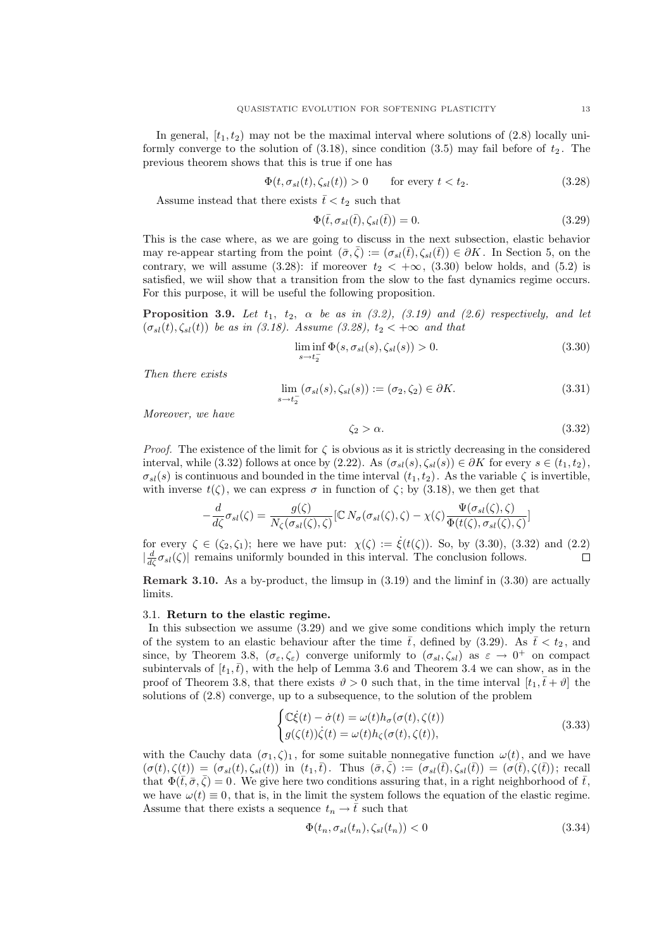In general,  $[t_1, t_2)$  may not be the maximal interval where solutions of (2.8) locally uniformly converge to the solution of  $(3.18)$ , since condition  $(3.5)$  may fail before of  $t_2$ . The previous theorem shows that this is true if one has

$$
\Phi(t, \sigma_{sl}(t), \zeta_{sl}(t)) > 0 \qquad \text{for every } t < t_2. \tag{3.28}
$$

Assume instead that there exists  $\bar{t} < t_2$  such that

$$
\Phi(\bar{t}, \sigma_{sl}(\bar{t}), \zeta_{sl}(\bar{t})) = 0.
$$
\n(3.29)

This is the case where, as we are going to discuss in the next subsection, elastic behavior may re-appear starting from the point  $(\bar{\sigma}, \bar{\zeta}) := (\sigma_{sl}(\bar{t}), \zeta_{sl}(\bar{t})) \in \partial K$ . In Section 5, on the contrary, we will assume (3.28): if moreover  $t_2 < +\infty$ , (3.30) below holds, and (5.2) is satisfied, we wiil show that a transition from the slow to the fast dynamics regime occurs. For this purpose, it will be useful the following proposition.

**Proposition 3.9.** Let  $t_1$ ,  $t_2$ ,  $\alpha$  be as in (3.2), (3.19) and (2.6) respectively, and let  $(\sigma_{sl}(t), \zeta_{sl}(t))$  be as in (3.18). Assume (3.28),  $t_2 < +\infty$  and that

$$
\liminf_{s \to t_2^-} \Phi(s, \sigma_{sl}(s), \zeta_{sl}(s)) > 0. \tag{3.30}
$$

Then there exists

$$
\lim_{s \to t_2^-} (\sigma_{sl}(s), \zeta_{sl}(s)) := (\sigma_2, \zeta_2) \in \partial K.
$$
\n(3.31)

Moreover, we have

$$
\zeta_2 > \alpha. \tag{3.32}
$$

*Proof.* The existence of the limit for  $\zeta$  is obvious as it is strictly decreasing in the considered interval, while (3.32) follows at once by (2.22). As  $(\sigma_{sl}(s), \zeta_{sl}(s)) \in \partial K$  for every  $s \in (t_1, t_2)$ ,  $\sigma_{sl}(s)$  is continuous and bounded in the time interval  $(t_1, t_2)$ . As the variable  $\zeta$  is invertible, with inverse  $t(\zeta)$ , we can express  $\sigma$  in function of  $\zeta$ ; by (3.18), we then get that

$$
-\frac{d}{d\zeta}\sigma_{sl}(\zeta) = \frac{g(\zeta)}{N_{\zeta}(\sigma_{sl}(\zeta), \zeta)} [\mathbb{C} N_{\sigma}(\sigma_{sl}(\zeta), \zeta) - \chi(\zeta) \frac{\Psi(\sigma_{sl}(\zeta), \zeta)}{\Phi(t(\zeta), \sigma_{sl}(\zeta), \zeta)}]
$$

for every  $\zeta \in (\zeta_2, \zeta_1)$ ; here we have put:  $\chi(\zeta) := \dot{\xi}(t(\zeta))$ . So, by (3.30), (3.32) and (2.2)  $\left|\frac{d}{d\zeta}\sigma_{sl}(\zeta)\right|$  remains uniformly bounded in this interval. The conclusion follows.  $\Box$ 

Remark 3.10. As a by-product, the limsup in (3.19) and the liminf in (3.30) are actually limits.

## 3.1. Return to the elastic regime.

In this subsection we assume (3.29) and we give some conditions which imply the return of the system to an elastic behaviour after the time  $\bar{t}$ , defined by (3.29). As  $\bar{t} < t_2$ , and since, by Theorem 3.8,  $(\sigma_{\varepsilon}, \zeta_{\varepsilon})$  converge uniformly to  $(\sigma_{sl}, \zeta_{sl})$  as  $\varepsilon \to 0^+$  on compact subintervals of  $[t_1,\bar{t})$ , with the help of Lemma 3.6 and Theorem 3.4 we can show, as in the proof of Theorem 3.8, that there exists  $\vartheta > 0$  such that, in the time interval  $[t_1, t + \vartheta]$  the solutions of (2.8) converge, up to a subsequence, to the solution of the problem  $\overline{a}$ 

$$
\begin{cases}\n\mathbb{C}\dot{\xi}(t) - \dot{\sigma}(t) = \omega(t)h_{\sigma}(\sigma(t), \zeta(t)) \\
g(\zeta(t))\dot{\zeta}(t) = \omega(t)h_{\zeta}(\sigma(t), \zeta(t)),\n\end{cases}
$$
\n(3.33)

with the Cauchy data  $(\sigma_1, \zeta)_1$ , for some suitable nonnegative function  $\omega(t)$ , and we have  $(\sigma(t), \zeta(t)) = (\sigma_{sl}(t), \zeta_{sl}(t))$  in  $(t_1, \bar{t})$ . Thus  $(\bar{\sigma}, \bar{\zeta}) := (\sigma_{sl}(\bar{t}), \zeta_{sl}(\bar{t})) = (\sigma(\bar{t}), \zeta(\bar{t}))$ ; recall that  $\Phi(\bar{t},\bar{\sigma},\bar{\zeta})=0$ . We give here two conditions assuring that, in a right neighborhood of  $\bar{t}$ , we have  $\omega(t) \equiv 0$ , that is, in the limit the system follows the equation of the elastic regime. Assume that there exists a sequence  $t_n \to \bar{t}$  such that

$$
\Phi(t_n, \sigma_{sl}(t_n), \zeta_{sl}(t_n)) < 0 \tag{3.34}
$$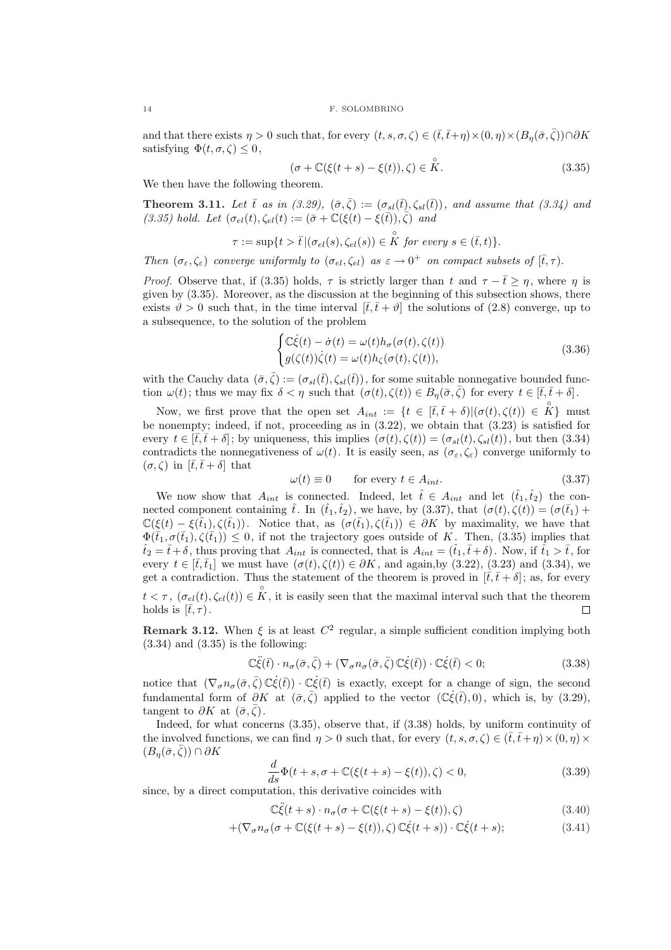and that there exists  $\eta > 0$  such that, for every  $(t, s, \sigma, \zeta) \in (\bar{t}, \bar{t} + \eta) \times (0, \eta) \times (B_n(\bar{\sigma}, \bar{\zeta})) \cap \partial K$ satisfying  $\Phi(t, \sigma, \zeta) \leq 0$ ,

$$
(\sigma + \mathbb{C}(\xi(t+s) - \xi(t)), \zeta) \in \overset{\circ}{K}.
$$
\n(3.35)

We then have the following theorem.

**Theorem 3.11.** Let  $\bar{t}$  as in (3.29),  $(\bar{\sigma}, \bar{\zeta}) := (\sigma_{sl}(\bar{t}), \zeta_{sl}(\bar{t}))$ , and assume that (3.34) and (3.35) hold. Let  $(\sigma_{el}(t), \zeta_{el}(t)) := (\bar{\sigma} + \mathbb{C}(\xi(t) - \xi(\bar{t})), \bar{\zeta})$  and

$$
\tau := \sup\{t > \overline{t} \, | (\sigma_{el}(s), \zeta_{el}(s)) \in \overset{\circ}{K} \text{ for every } s \in (\overline{t}, t)\}.
$$

Then  $(\sigma_{\varepsilon}, \zeta_{\varepsilon})$  converge uniformly to  $(\sigma_{el}, \zeta_{el})$  as  $\varepsilon \to 0^+$  on compact subsets of  $[\bar{t}, \tau)$ .

*Proof.* Observe that, if (3.35) holds,  $\tau$  is strictly larger than t and  $\tau - \bar{t} > \eta$ , where  $\eta$  is given by (3.35). Moreover, as the discussion at the beginning of this subsection shows, there exists  $\vartheta > 0$  such that, in the time interval  $[\bar{t}, \bar{t} + \vartheta]$  the solutions of (2.8) converge, up to a subsequence, to the solution of the problem (

$$
\begin{cases} \mathbb{C}\dot{\xi}(t) - \dot{\sigma}(t) = \omega(t)h_{\sigma}(\sigma(t), \zeta(t)) \\ g(\zeta(t))\dot{\zeta}(t) = \omega(t)h_{\zeta}(\sigma(t), \zeta(t)), \end{cases}
$$
\n(3.36)

with the Cauchy data  $(\bar{\sigma}, \bar{\zeta}) := (\sigma_{sl}(\bar{t}), \zeta_{sl}(\bar{t}))$ , for some suitable nonnegative bounded function  $\omega(t)$ ; thus we may fix  $\delta < \eta$  such that  $(\sigma(t), \zeta(t)) \in B_n(\bar{\sigma}, \bar{\zeta})$  for every  $t \in [\bar{t}, \bar{t} + \delta].$ 

Now, we first prove that the open set  $A_{int} := \{t \in [\bar{t}, \bar{t} + \delta] | (\sigma(t), \zeta(t)) \in \overset{\circ}{K}\}\$  must be nonempty; indeed, if not, proceeding as in (3.22), we obtain that (3.23) is satisfied for every  $t \in [\bar{t}, \bar{t} + \delta]$ ; by uniqueness, this implies  $(\sigma(t), \zeta(t)) = (\sigma_{sl}(t), \zeta_{sl}(t))$ , but then (3.34) contradicts the nonnegativeness of  $\omega(t)$ . It is easily seen, as  $(\sigma_{\varepsilon}, \zeta_{\varepsilon})$  converge uniformly to  $(\sigma, \zeta)$  in  $[\bar{t}, \bar{t}+\delta]$  that

$$
\omega(t) \equiv 0 \qquad \text{for every } t \in A_{int}.\tag{3.37}
$$

We now show that  $A_{int}$  is connected. Indeed, let  $\hat{t} \in A_{int}$  and let  $(\hat{t}_1, \hat{t}_2)$  the connected component containing  $\hat{t}$ . In  $(\hat{t}_1, \hat{t}_2)$ , we have, by (3.37), that  $(\sigma(t), \zeta(t)) = (\sigma(\bar{t}_1) +$  $\mathbb{C}(\xi(t) - \xi(\bar{t}_1), \zeta(\bar{t}_1)).$  Notice that, as  $(\sigma(\bar{t}_1), \zeta(\bar{t}_1)) \in \partial K$  by maximality, we have that  $\Phi(\bar{t}_1, \sigma(\bar{t}_1), \zeta(\bar{t}_1)) \leq 0$ , if not the trajectory goes outside of K. Then, (3.35) implies that  $t_2 = \bar{t} + \delta$ , thus proving that  $A_{int}$  is connected, that is  $A_{int} = (\hat{t}_1, \bar{t} + \delta)$ . Now, if  $\hat{t}_1 > \bar{t}$ , for every  $t \in [\bar{t}, \bar{t}_1]$  we must have  $(\sigma(t), \zeta(t)) \in \partial K$ , and again, by (3.22), (3.23) and (3.34), we get a contradiction. Thus the statement of the theorem is proved in  $[\bar{t}, \bar{t} + \delta]$ ; as, for every  $t < \tau$ ,  $(\sigma_{el}(t), \zeta_{el}(t)) \in \overset{\circ}{K}$ , it is easily seen that the maximal interval such that the theorem holds is  $[\bar{t}, \tau)$ .  $\Box$ 

**Remark 3.12.** When  $\xi$  is at least  $C^2$  regular, a simple sufficient condition implying both  $(3.34)$  and  $(3.35)$  is the following:

$$
\mathbb{C}\ddot{\xi}(\bar{t}) \cdot n_{\sigma}(\bar{\sigma}, \bar{\zeta}) + (\nabla_{\sigma} n_{\sigma}(\bar{\sigma}, \bar{\zeta}) \mathbb{C}\dot{\xi}(\bar{t})) \cdot \mathbb{C}\dot{\xi}(\bar{t}) < 0; \tag{3.38}
$$

notice that  $(\nabla_{\sigma} n_{\sigma}(\bar{\sigma}, \bar{\zeta}) \mathbb{C} \dot{\xi}(\bar{t})) \cdot \mathbb{C} \dot{\xi}(\bar{t})$  is exactly, except for a change of sign, the second fundamental form of  $\partial K$  at  $(\bar{\sigma}, \bar{\zeta})$  applied to the vector  $(\mathbb{C}\dot{\xi}(\bar{t}), 0)$ , which is, by (3.29), tangent to  $\partial K$  at  $(\bar{\sigma}, \bar{\zeta})$ .

Indeed, for what concerns (3.35), observe that, if (3.38) holds, by uniform continuity of the involved functions, we can find  $\eta > 0$  such that, for every  $(t, s, \sigma, \zeta) \in (\bar{t}, \bar{t} + \eta) \times (0, \eta) \times$  $(B_n(\bar{\sigma}, \zeta)) \cap \partial K$ 

$$
\frac{d}{ds}\Phi(t+s,\sigma+\mathbb{C}(\xi(t+s)-\xi(t)),\zeta)<0,\tag{3.39}
$$

since, by a direct computation, this derivative coincides with

$$
\mathbb{C}\ddot{\xi}(t+s)\cdot n_{\sigma}(\sigma+\mathbb{C}(\xi(t+s)-\xi(t)),\zeta)
$$
\n(3.40)

$$
+(\nabla_{\sigma}n_{\sigma}(\sigma+\mathbb{C}(\xi(t+s)-\xi(t)),\zeta)\,\mathbb{C}\dot{\xi}(t+s))\cdot\mathbb{C}\dot{\xi}(t+s); \tag{3.41}
$$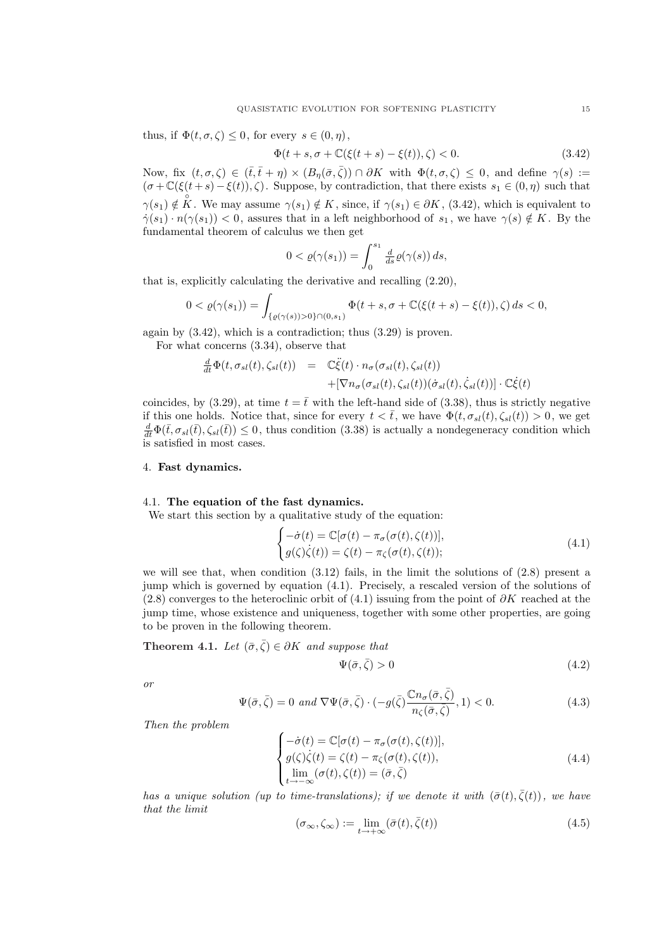thus, if  $\Phi(t, \sigma, \zeta) \leq 0$ , for every  $s \in (0, \eta)$ ,

$$
\Phi(t+s,\sigma+\mathbb{C}(\xi(t+s)-\xi(t)),\zeta) < 0. \tag{3.42}
$$

Now, fix  $(t, \sigma, \zeta) \in (\bar{t}, \bar{t}+\eta) \times (B_n(\bar{\sigma}, \bar{\zeta})) \cap \partial K$  with  $\Phi(t, \sigma, \zeta) \leq 0$ , and define  $\gamma(s) :=$  $(\sigma+\mathbb{C}(\xi(t+s)-\xi(t)),\zeta)$ . Suppose, by contradiction, that there exists  $s_1 \in (0,\eta)$  such that  $\gamma(s_1) \notin \mathring{K}$ . We may assume  $\gamma(s_1) \notin \mathring{K}$ , since, if  $\gamma(s_1) \in \partial \mathring{K}$ , (3.42), which is equivalent to  $\gamma(s_1) \cdot n(\gamma(s_1)) < 0$ , assures that in a left neighborhood of  $s_1$ , we have  $\gamma(s) \notin K$ . By the fundamental theorem of calculus we then get

$$
0 < \varrho(\gamma(s_1)) = \int_0^{s_1} \frac{d}{ds} \varrho(\gamma(s)) \, ds,
$$

that is, explicitly calculating the derivative and recalling (2.20),

$$
0 < \varrho(\gamma(s_1)) = \int_{\{\varrho(\gamma(s)) > 0\} \cap (0, s_1)} \Phi(t + s, \sigma + \mathbb{C}(\xi(t + s) - \xi(t)), \zeta) \, ds < 0,
$$

again by (3.42), which is a contradiction; thus (3.29) is proven.

For what concerns (3.34), observe that

$$
\frac{d}{dt}\Phi(t,\sigma_{sl}(t),\zeta_{sl}(t)) = \mathbb{C}\ddot{\xi}(t) \cdot n_{\sigma}(\sigma_{sl}(t),\zeta_{sl}(t)) \n+ [\nabla n_{\sigma}(\sigma_{sl}(t),\zeta_{sl}(t))(\dot{\sigma}_{sl}(t),\dot{\zeta}_{sl}(t))] \cdot \mathbb{C}\dot{\xi}(t)
$$

coincides, by (3.29), at time  $t = \bar{t}$  with the left-hand side of (3.38), thus is strictly negative if this one holds. Notice that, since for every  $t < \bar{t}$ , we have  $\Phi(t, \sigma_{sl}(t), \zeta_{sl}(t)) > 0$ , we get  $\frac{d}{dt}\Phi(\bar{t},\sigma_{sl}(\bar{t}),\zeta_{sl}(\bar{t}))\leq 0$ , thus condition (3.38) is actually a nondegeneracy condition which is satisfied in most cases.

#### 4. Fast dynamics.

## 4.1. The equation of the fast dynamics.

We start this section by a qualitative study of the equation: (

$$
\begin{cases}\n-\dot{\sigma}(t) = \mathbb{C}[\sigma(t) - \pi_{\sigma}(\sigma(t), \zeta(t))], \\
g(\zeta)\dot{\zeta}(t)) = \zeta(t) - \pi_{\zeta}(\sigma(t), \zeta(t));\n\end{cases}
$$
\n(4.1)

we will see that, when condition  $(3.12)$  fails, in the limit the solutions of  $(2.8)$  present a jump which is governed by equation (4.1). Precisely, a rescaled version of the solutions of (2.8) converges to the heteroclinic orbit of (4.1) issuing from the point of  $\partial K$  reached at the jump time, whose existence and uniqueness, together with some other properties, are going to be proven in the following theorem.

**Theorem 4.1.** Let  $(\bar{\sigma}, \bar{\zeta}) \in \partial K$  and suppose that

$$
\Psi(\bar{\sigma}, \bar{\zeta}) > 0 \tag{4.2}
$$

or

$$
\Psi(\bar{\sigma}, \bar{\zeta}) = 0 \text{ and } \nabla \Psi(\bar{\sigma}, \bar{\zeta}) \cdot (-g(\bar{\zeta}) \frac{\mathbb{C}n_{\sigma}(\bar{\sigma}, \bar{\zeta})}{n_{\zeta}(\bar{\sigma}, \bar{\zeta})}, 1) < 0. \tag{4.3}
$$

Then the problem

$$
\begin{cases}\n-\dot{\sigma}(t) = \mathbb{C}[\sigma(t) - \pi_{\sigma}(\sigma(t), \zeta(t))],\\ \ng(\zeta)\dot{\zeta}(t) = \zeta(t) - \pi_{\zeta}(\sigma(t), \zeta(t)),\\ \lim_{t \to -\infty} (\sigma(t), \zeta(t)) = (\bar{\sigma}, \bar{\zeta})\n\end{cases} \tag{4.4}
$$

has a unique solution (up to time-translations); if we denote it with  $(\bar{\sigma}(t), \bar{\zeta}(t))$ , we have that the limit

$$
(\sigma_{\infty}, \zeta_{\infty}) := \lim_{t \to +\infty} (\bar{\sigma}(t), \bar{\zeta}(t))
$$
\n(4.5)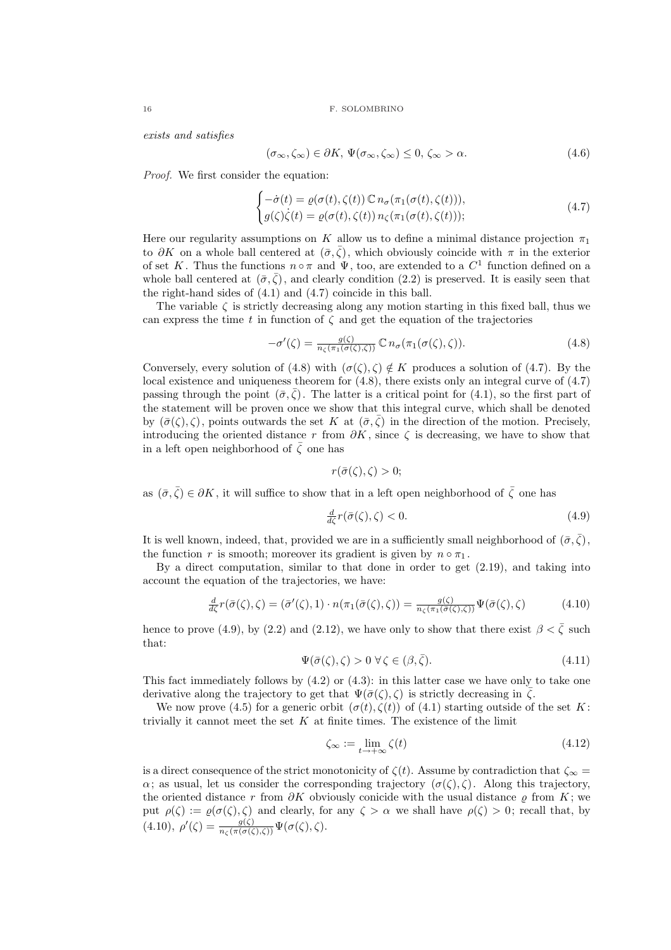exists and satisfies

$$
(\sigma_{\infty}, \zeta_{\infty}) \in \partial K, \, \Psi(\sigma_{\infty}, \zeta_{\infty}) \le 0, \, \zeta_{\infty} > \alpha. \tag{4.6}
$$

Proof. We first consider the equation:

$$
\begin{cases}\n-\dot{\sigma}(t) = \varrho(\sigma(t), \zeta(t)) \mathbb{C} \, n_{\sigma}(\pi_1(\sigma(t), \zeta(t))), \\
g(\zeta) \dot{\zeta}(t) = \varrho(\sigma(t), \zeta(t)) \, n_{\zeta}(\pi_1(\sigma(t), \zeta(t))),\n\end{cases} \tag{4.7}
$$

Here our regularity assumptions on K allow us to define a minimal distance projection  $\pi_1$ to ∂K on a whole ball centered at  $(\bar{\sigma}, \bar{\zeta})$ , which obviously coincide with  $\pi$  in the exterior of set K. Thus the functions  $n \circ \pi$  and  $\Psi$ , too, are extended to a  $C^1$  function defined on a whole ball centered at  $(\bar{\sigma}, \bar{\zeta})$ , and clearly condition (2.2) is preserved. It is easily seen that the right-hand sides of (4.1) and (4.7) coincide in this ball.

The variable  $\zeta$  is strictly decreasing along any motion starting in this fixed ball, thus we can express the time t in function of  $\zeta$  and get the equation of the trajectories

$$
-\sigma'(\zeta) = \frac{g(\zeta)}{n_{\zeta}(\pi_1(\sigma(\zeta), \zeta))} \mathbb{C} \, n_{\sigma}(\pi_1(\sigma(\zeta), \zeta)). \tag{4.8}
$$

Conversely, every solution of (4.8) with  $(\sigma(\zeta), \zeta) \notin K$  produces a solution of (4.7). By the local existence and uniqueness theorem for  $(4.8)$ , there exists only an integral curve of  $(4.7)$ passing through the point  $(\bar{\sigma}, \zeta)$ . The latter is a critical point for (4.1), so the first part of the statement will be proven once we show that this integral curve, which shall be denoted by  $(\bar{\sigma}(\zeta), \zeta)$ , points outwards the set K at  $(\bar{\sigma}, \zeta)$  in the direction of the motion. Precisely, introducing the oriented distance r from  $\partial K$ , since  $\zeta$  is decreasing, we have to show that in a left open neighborhood of  $\zeta$  one has

$$
r(\bar{\sigma}(\zeta), \zeta) > 0;
$$

as  $(\bar{\sigma}, \bar{\zeta}) \in \partial K$ , it will suffice to show that in a left open neighborhood of  $\bar{\zeta}$  one has

$$
\frac{d}{d\zeta}r(\bar{\sigma}(\zeta), \zeta) < 0. \tag{4.9}
$$

It is well known, indeed, that, provided we are in a sufficiently small neighborhood of  $(\bar{\sigma}, \bar{\zeta})$ , the function r is smooth; moreover its gradient is given by  $n \circ \pi_1$ .

By a direct computation, similar to that done in order to get (2.19), and taking into account the equation of the trajectories, we have:

$$
\frac{d}{d\zeta}r(\bar{\sigma}(\zeta), \zeta) = (\bar{\sigma}'(\zeta), 1) \cdot n(\pi_1(\bar{\sigma}(\zeta), \zeta)) = \frac{g(\zeta)}{n_{\zeta}(\pi_1(\bar{\sigma}(\zeta), \zeta))} \Psi(\bar{\sigma}(\zeta), \zeta)
$$
(4.10)

hence to prove (4.9), by (2.2) and (2.12), we have only to show that there exist  $\beta < \bar{\zeta}$  such that:

$$
\Psi(\bar{\sigma}(\zeta), \zeta) > 0 \,\forall \zeta \in (\beta, \bar{\zeta}).\tag{4.11}
$$

This fact immediately follows by  $(4.2)$  or  $(4.3)$ : in this latter case we have only to take one derivative along the trajectory to get that  $\Psi(\bar{\sigma}(\zeta), \zeta)$  is strictly decreasing in  $\bar{\zeta}$ .

We now prove (4.5) for a generic orbit  $(\sigma(t), \zeta(t))$  of (4.1) starting outside of the set K: trivially it cannot meet the set  $K$  at finite times. The existence of the limit

$$
\zeta_{\infty} := \lim_{t \to +\infty} \zeta(t) \tag{4.12}
$$

is a direct consequence of the strict monotonicity of  $\zeta(t)$ . Assume by contradiction that  $\zeta_{\infty} =$  $\alpha$ ; as usual, let us consider the corresponding trajectory ( $\sigma(\zeta), \zeta$ ). Along this trajectory, the oriented distance r from  $\partial K$  obviously conicide with the usual distance  $\varrho$  from K; we put  $\rho(\zeta) := \rho(\sigma(\zeta), \zeta)$  and clearly, for any  $\zeta > \alpha$  we shall have  $\rho(\zeta) > 0$ ; recall that, by  $(4.10), \ \rho'(\zeta) = \frac{g(\zeta)}{n_{\zeta}(\pi(\sigma(\zeta),\zeta))} \Psi(\sigma(\zeta),\zeta).$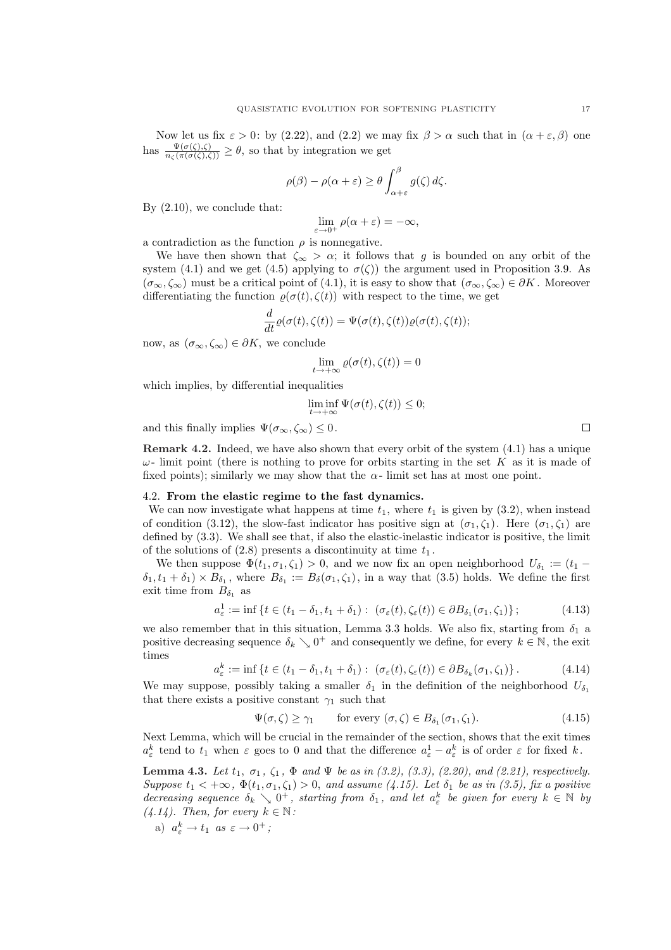Now let us fix  $\varepsilon > 0$ : by (2.22), and (2.2) we may fix  $\beta > \alpha$  such that in  $(\alpha + \varepsilon, \beta)$  one has  $\frac{\Psi(\sigma(\zeta),\zeta)}{n_{\zeta}(\pi(\sigma(\zeta),\zeta))} \geq \theta$ , so that by integration we get

$$
\rho(\beta) - \rho(\alpha + \varepsilon) \ge \theta \int_{\alpha + \varepsilon}^{\beta} g(\zeta) d\zeta.
$$

By  $(2.10)$ , we conclude that:

$$
\lim_{\varepsilon \to 0^+} \rho(\alpha + \varepsilon) = -\infty,
$$

a contradiction as the function  $\rho$  is nonnegative.

We have then shown that  $\zeta_{\infty} > \alpha$ ; it follows that g is bounded on any orbit of the system (4.1) and we get (4.5) applying to  $\sigma(\zeta)$  the argument used in Proposition 3.9. As  $(\sigma_{\infty}, \zeta_{\infty})$  must be a critical point of (4.1), it is easy to show that  $(\sigma_{\infty}, \zeta_{\infty}) \in \partial K$ . Moreover differentiating the function  $\varrho(\sigma(t), \zeta(t))$  with respect to the time, we get

$$
\frac{d}{dt}\varrho(\sigma(t),\zeta(t))=\Psi(\sigma(t),\zeta(t))\varrho(\sigma(t),\zeta(t));
$$

now, as  $(\sigma_{\infty}, \zeta_{\infty}) \in \partial K$ , we conclude

$$
\lim_{t \to +\infty} \varrho(\sigma(t), \zeta(t)) = 0
$$

which implies, by differential inequalities

$$
\liminf_{t \to +\infty} \Psi(\sigma(t), \zeta(t)) \le 0;
$$

and this finally implies  $\Psi(\sigma_{\infty}, \zeta_{\infty}) \leq 0$ .

Remark 4.2. Indeed, we have also shown that every orbit of the system (4.1) has a unique  $\omega$ - limit point (there is nothing to prove for orbits starting in the set K as it is made of fixed points); similarly we may show that the  $\alpha$ - limit set has at most one point.

#### 4.2. From the elastic regime to the fast dynamics.

We can now investigate what happens at time  $t_1$ , where  $t_1$  is given by (3.2), when instead of condition (3.12), the slow-fast indicator has positive sign at  $(\sigma_1, \zeta_1)$ . Here  $(\sigma_1, \zeta_1)$  are defined by (3.3). We shall see that, if also the elastic-inelastic indicator is positive, the limit of the solutions of  $(2.8)$  presents a discontinuity at time  $t_1$ .

We then suppose  $\Phi(t_1, \sigma_1, \zeta_1) > 0$ , and we now fix an open neighborhood  $U_{\delta_1} := (t_1 \delta_1, t_1 + \delta_1 \rangle \times B_{\delta_1}$ , where  $B_{\delta_1} := B_{\delta}(\sigma_1, \zeta_1)$ , in a way that (3.5) holds. We define the first exit time from  $B_{\delta_1}$  as

$$
a_{\varepsilon}^1 := \inf \left\{ t \in (t_1 - \delta_1, t_1 + \delta_1) : \ (\sigma_{\varepsilon}(t), \zeta_{\varepsilon}(t)) \in \partial B_{\delta_1}(\sigma_1, \zeta_1) \right\};\tag{4.13}
$$

we also remember that in this situation, Lemma 3.3 holds. We also fix, starting from  $\delta_1$  a positive decreasing sequence  $\delta_k \searrow 0^+$  and consequently we define, for every  $k \in \mathbb{N}$ , the exit times

$$
a_{\varepsilon}^k := \inf \left\{ t \in (t_1 - \delta_1, t_1 + \delta_1) : \ (\sigma_{\varepsilon}(t), \zeta_{\varepsilon}(t)) \in \partial B_{\delta_k}(\sigma_1, \zeta_1) \right\}.
$$
 (4.14)

We may suppose, possibly taking a smaller  $\delta_1$  in the definition of the neighborhood  $U_{\delta_1}$ that there exists a positive constant  $\gamma_1$  such that

$$
\Psi(\sigma,\zeta) \ge \gamma_1 \qquad \text{for every } (\sigma,\zeta) \in B_{\delta_1}(\sigma_1,\zeta_1). \tag{4.15}
$$

Next Lemma, which will be crucial in the remainder of the section, shows that the exit times  $a_{\varepsilon}^{k}$  tend to  $t_1$  when  $\varepsilon$  goes to 0 and that the difference  $a_{\varepsilon}^{1} - a_{\varepsilon}^{k}$  is of order  $\varepsilon$  for fixed k.

**Lemma 4.3.** Let  $t_1, \sigma_1, \zeta_1, \Phi$  and  $\Psi$  be as in (3.2), (3.3), (2.20), and (2.21), respectively. Suppose  $t_1 < +\infty$ ,  $\Phi(t_1, \sigma_1, \zeta_1) > 0$ , and assume (4.15). Let  $\delta_1$  be as in (3.5), fix a positive decreasing sequence  $\delta_k \searrow 0^+$ , starting from  $\delta_1$ , and let  $a_{\varepsilon}^k$  be given for every  $k \in \mathbb{N}$  by  $(4.14)$ . Then, for every  $k \in \mathbb{N}$ :

a) 
$$
a_{\varepsilon}^k \to t_1 \text{ as } \varepsilon \to 0^+;
$$

 $\Box$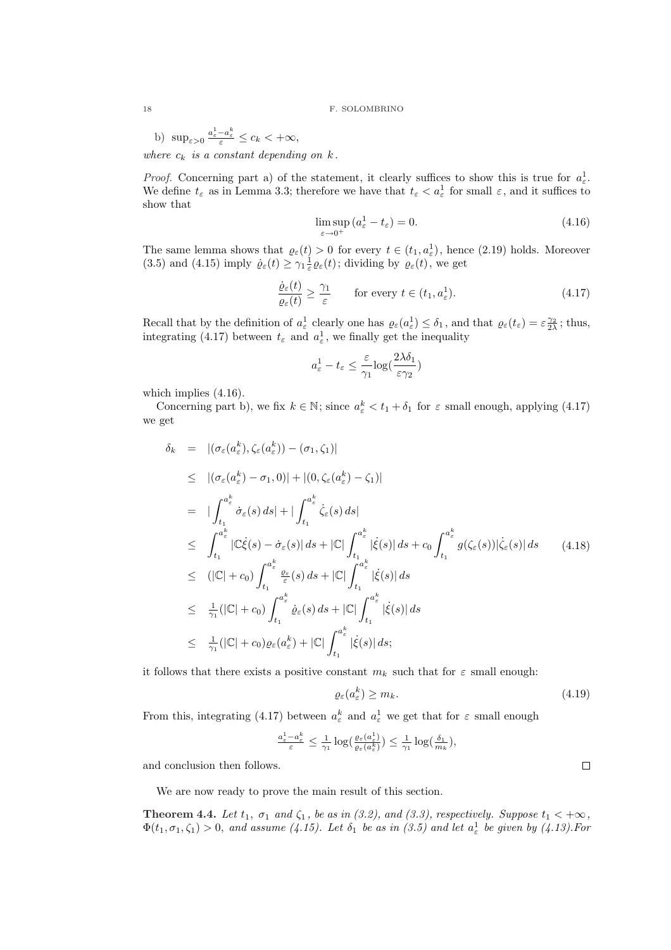b)  $\sup_{\varepsilon>0} \frac{a_{\varepsilon}^1 - a_{\varepsilon}^k}{\varepsilon} \leq c_k < +\infty$ ,

where  $c_k$  is a constant depending on k.

*Proof.* Concerning part a) of the statement, it clearly suffices to show this is true for  $a_{\varepsilon}^1$ . We define  $t_{\varepsilon}$  as in Lemma 3.3; therefore we have that  $t_{\varepsilon} < a_{\varepsilon}^1$  for small  $\varepsilon$ , and it suffices to show that

$$
\limsup_{\varepsilon \to 0^+} (a_{\varepsilon}^1 - t_{\varepsilon}) = 0. \tag{4.16}
$$

The same lemma shows that  $\varrho_{\varepsilon}(t) > 0$  for every  $t \in (t_1, a_{\varepsilon}^1)$ , hence  $(2.19)$  holds. Moreover (3.5) and (4.15) imply  $\dot{\varrho}_{\varepsilon}(t) \geq \gamma_1 \frac{1}{\varepsilon} \varrho_{\varepsilon}(t)$ ; dividing by  $\varrho_{\varepsilon}(t)$ , we get

$$
\frac{\dot{\varrho}_{\varepsilon}(t)}{\varrho_{\varepsilon}(t)} \ge \frac{\gamma_1}{\varepsilon} \qquad \text{for every } t \in (t_1, a_{\varepsilon}^1). \tag{4.17}
$$

Recall that by the definition of  $a_{\varepsilon}^1$  clearly one has  $\varrho_{\varepsilon}(a_{\varepsilon}^1) \leq \delta_1$ , and that  $\varrho_{\varepsilon}(t_{\varepsilon}) = \varepsilon \frac{\gamma_2}{2\lambda}$ ; thus, integrating (4.17) between  $t_{\varepsilon}$  and  $a_{\varepsilon}^{1}$ , we finally get the inequality

$$
a_\varepsilon^1-t_\varepsilon\leq \frac{\varepsilon}{\gamma_1}\text{log}(\frac{2\lambda\delta_1}{\varepsilon\gamma_2})
$$

which implies (4.16).

Concerning part b), we fix  $k \in \mathbb{N}$ ; since  $a_{\varepsilon}^k < t_1 + \delta_1$  for  $\varepsilon$  small enough, applying (4.17) we get

$$
\delta_k = |(\sigma_{\varepsilon}(a_{\varepsilon}^k), \zeta_{\varepsilon}(a_{\varepsilon}^k)) - (\sigma_1, \zeta_1)|
$$
\n
$$
\leq |(\sigma_{\varepsilon}(a_{\varepsilon}^k) - \sigma_1, 0)| + |(0, \zeta_{\varepsilon}(a_{\varepsilon}^k) - \zeta_1)|
$$
\n
$$
= | \int_{t_1}^{a_{\varepsilon}^k} \dot{\sigma}_{\varepsilon}(s) ds | + | \int_{t_1}^{a_{\varepsilon}^k} \dot{\zeta}_{\varepsilon}(s) ds |
$$
\n
$$
\leq \int_{t_1}^{a_{\varepsilon}^k} |\mathbb{C}\dot{\xi}(s) - \dot{\sigma}_{\varepsilon}(s)| ds + |\mathbb{C}| \int_{t_1}^{a_{\varepsilon}^k} |\dot{\xi}(s)| ds + c_0 \int_{t_1}^{a_{\varepsilon}^k} g(\zeta_{\varepsilon}(s)) |\dot{\zeta}_{\varepsilon}(s)| ds \qquad (4.18)
$$
\n
$$
\leq (|\mathbb{C}| + c_0) \int_{t_1}^{a_{\varepsilon}^k} \frac{\varrho_{\varepsilon}(s)}{\varepsilon}(s) ds + |\mathbb{C}| \int_{t_1}^{a_{\varepsilon}^k} |\dot{\xi}(s)| ds
$$
\n
$$
\leq \frac{1}{\gamma_1} (|\mathbb{C}| + c_0) \int_{t_1}^{a_{\varepsilon}^k} \dot{\varrho}_{\varepsilon}(s) ds + |\mathbb{C}| \int_{t_1}^{a_{\varepsilon}^k} |\dot{\xi}(s)| ds
$$
\n
$$
\leq \frac{1}{\gamma_1} (|\mathbb{C}| + c_0) \varrho_{\varepsilon}(a_{\varepsilon}^k) + |\mathbb{C}| \int_{t_1}^{a_{\varepsilon}^k} |\dot{\xi}(s)| ds;
$$

it follows that there exists a positive constant  $m_k$  such that for  $\varepsilon$  small enough:

$$
\varrho_{\varepsilon}(a_{\varepsilon}^k) \ge m_k. \tag{4.19}
$$

From this, integrating (4.17) between  $a_{\varepsilon}^k$  and  $a_{\varepsilon}^1$  we get that for  $\varepsilon$  small enough

$$
\tfrac{a_\varepsilon^1-a_\varepsilon^k}{\varepsilon}\leq \tfrac{1}{\gamma_1}\log(\tfrac{\varrho_\varepsilon(a_\varepsilon^1)}{\varrho_\varepsilon(a_\varepsilon^k)})\leq \tfrac{1}{\gamma_1}\log(\tfrac{\delta_1}{m_k}),
$$

and conclusion then follows.

We are now ready to prove the main result of this section.

**Theorem 4.4.** Let  $t_1$ ,  $\sigma_1$  and  $\zeta_1$ , be as in (3.2), and (3.3), respectively. Suppose  $t_1 < +\infty$ ,  $\Phi(t_1,\sigma_1,\zeta_1) > 0$ , and assume (4.15). Let  $\delta_1$  be as in (3.5) and let  $a_{\varepsilon}^1$  be given by (4.13). For

 $\Box$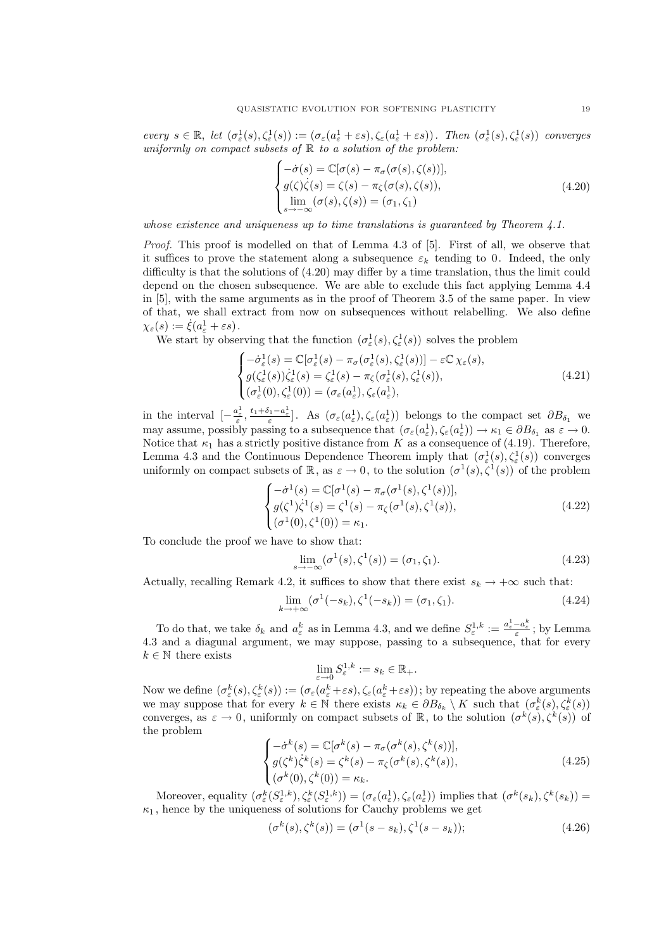every  $s \in \mathbb{R}$ , let  $(\sigma_{\varepsilon}^1(s), \zeta_{\varepsilon}^1(s)) := (\sigma_{\varepsilon}(a_{\varepsilon}^1 + \varepsilon s), \zeta_{\varepsilon}(a_{\varepsilon}^1 + \varepsilon s))$ . Then  $(\sigma_{\varepsilon}^1(s), \zeta_{\varepsilon}^1(s))$  converges uniformly on compact subsets of  $\mathbb R$  to a solution of the problem:

$$
\begin{cases}\n-\dot{\sigma}(s) = \mathbb{C}[\sigma(s) - \pi_{\sigma}(\sigma(s), \zeta(s))],\\ \ng(\zeta)\dot{\zeta}(s) = \zeta(s) - \pi_{\zeta}(\sigma(s), \zeta(s)),\\ \lim_{s \to -\infty} (\sigma(s), \zeta(s)) = (\sigma_1, \zeta_1)\n\end{cases}
$$
\n(4.20)

whose existence and uniqueness up to time translations is quaranteed by Theorem  $\lambda$ .1.

Proof. This proof is modelled on that of Lemma 4.3 of [5]. First of all, we observe that it suffices to prove the statement along a subsequence  $\varepsilon_k$  tending to 0. Indeed, the only difficulty is that the solutions of (4.20) may differ by a time translation, thus the limit could depend on the chosen subsequence. We are able to exclude this fact applying Lemma 4.4 in [5], with the same arguments as in the proof of Theorem 3.5 of the same paper. In view of that, we shall extract from now on subsequences without relabelling. We also define  $\chi_{\varepsilon}(s) := \dot{\xi}(a_{\varepsilon}^1 + \varepsilon s).$ 

We start by observing that the function  $(\sigma_{\varepsilon}^1(s), \zeta_{\varepsilon}^1(s))$  solves the problem  $\overline{\phantom{a}}$ 

$$
\begin{cases}\n-\dot{\sigma}_{\varepsilon}^{1}(s) = \mathbb{C}[\sigma_{\varepsilon}^{1}(s) - \pi_{\sigma}(\sigma_{\varepsilon}^{1}(s), \zeta_{\varepsilon}^{1}(s))] - \varepsilon \mathbb{C} \chi_{\varepsilon}(s), \\
g(\zeta_{\varepsilon}^{1}(s))\dot{\zeta}_{\varepsilon}^{1}(s) = \zeta_{\varepsilon}^{1}(s) - \pi_{\zeta}(\sigma_{\varepsilon}^{1}(s), \zeta_{\varepsilon}^{1}(s)), \\
(\sigma_{\varepsilon}^{1}(0), \zeta_{\varepsilon}^{1}(0)) = (\sigma_{\varepsilon}(a_{\varepsilon}^{1}), \zeta_{\varepsilon}(a_{\varepsilon}^{1}),\n\end{cases} (4.21)
$$

in the interval  $\left[-\frac{a_{\varepsilon}^1}{\varepsilon},\frac{t_1+\delta_1-a_{\varepsilon}^1}{\varepsilon}\right]$ . As  $(\sigma_{\varepsilon}(a_{\varepsilon}^1),\zeta_{\varepsilon}(a_{\varepsilon}^1))$  belongs to the compact set  $\partial B_{\delta_1}$  we may assume, possibly passing to a subsequence that  $(\sigma_{\varepsilon}(a_{\varepsilon}^1), \zeta_{\varepsilon}(a_{\varepsilon}^1)) \to \kappa_1 \in \partial B_{\delta_1}$  as  $\varepsilon \to 0$ . Notice that  $\kappa_1$  has a strictly positive distance from K as a consequence of (4.19). Therefore, Lemma 4.3 and the Continuous Dependence Theorem imply that  $(\sigma_{\varepsilon}^1(s), \zeta_{\varepsilon}^1(s))$  converges uniformly on compact subsets of  $\mathbb{R}$ , as  $\varepsilon \to 0$ , to the solution  $(\sigma^1(s), \zeta^1(s))$  of the problem  $\overline{a}$ 

$$
\begin{cases}\n-\dot{\sigma}^{1}(s) = \mathbb{C}[\sigma^{1}(s) - \pi_{\sigma}(\sigma^{1}(s), \zeta^{1}(s))], \\
g(\zeta^{1})\dot{\zeta}^{1}(s) = \zeta^{1}(s) - \pi_{\zeta}(\sigma^{1}(s), \zeta^{1}(s)), \\
(\sigma^{1}(0), \zeta^{1}(0)) = \kappa_{1}.\n\end{cases}
$$
\n(4.22)

To conclude the proof we have to show that:

$$
\lim_{s \to -\infty} (\sigma^1(s), \zeta^1(s)) = (\sigma_1, \zeta_1). \tag{4.23}
$$

Actually, recalling Remark 4.2, it suffices to show that there exist  $s_k \to +\infty$  such that:

$$
\lim_{k \to +\infty} (\sigma^1(-s_k), \zeta^1(-s_k)) = (\sigma_1, \zeta_1). \tag{4.24}
$$

To do that, we take  $\delta_k$  and  $a_{\varepsilon}^k$  as in Lemma 4.3, and we define  $S_{\varepsilon}^{1,k} := \frac{a_{\varepsilon}^1 - a_{\varepsilon}^k}{\varepsilon}$ ; by Lemma 4.3 and a diagunal argument, we may suppose, passing to a subsequence, that for every  $k \in \mathbb{N}$  there exists

$$
\lim_{\varepsilon \to 0} S^{1,k}_{\varepsilon} := s_k \in \mathbb{R}_+.
$$

Now we define  $(\sigma_{\varepsilon}^k(s), \zeta_{\varepsilon}^k(s)) := (\sigma_{\varepsilon}(a_{\varepsilon}^k + \varepsilon s), \zeta_{\varepsilon}(a_{\varepsilon}^k + \varepsilon s))$ ; by repeating the above arguments we may suppose that for every  $k \in \mathbb{N}$  there exists  $\kappa_k \in \partial B_{\delta_k} \setminus K$  such that  $(\sigma_{\varepsilon}^k(s), \zeta_{\varepsilon}^k(s))$ converges, as  $\varepsilon \to 0$ , uniformly on compact subsets of  $\mathbb{R}$ , to the solution  $(\sigma^k(s), \zeta^k(s))$  of the problem  $\overline{a}$ 

$$
\begin{cases}\n-\dot{\sigma}^k(s) = \mathbb{C}[\sigma^k(s) - \pi_\sigma(\sigma^k(s), \zeta^k(s))],\\
g(\zeta^k)\dot{\zeta}^k(s) = \zeta^k(s) - \pi_\zeta(\sigma^k(s), \zeta^k(s)),\\
(\sigma^k(0), \zeta^k(0)) = \kappa_k.\n\end{cases} \tag{4.25}
$$

Moreover, equality  $(\sigma_{\varepsilon}^k(S_{\varepsilon}^{1,k}), \zeta_{\varepsilon}^k(S_{\varepsilon}^{1,k})) = (\sigma_{\varepsilon}(a_{\varepsilon}^1), \zeta_{\varepsilon}(a_{\varepsilon}^1))$  implies that  $(\sigma^k(s_k), \zeta^k(s_k)) =$  $\kappa_1$ , hence by the uniqueness of solutions for Cauchy problems we get

$$
(\sigma^k(s), \zeta^k(s)) = (\sigma^1(s - s_k), \zeta^1(s - s_k));
$$
\n(4.26)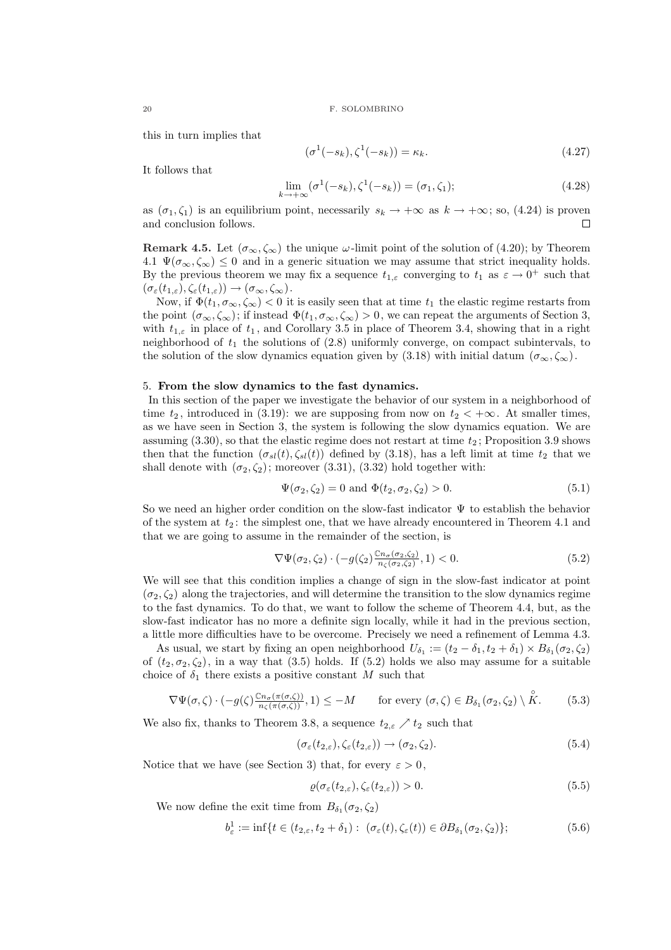this in turn implies that

$$
(\sigma^1(-s_k), \zeta^1(-s_k)) = \kappa_k. \tag{4.27}
$$

It follows that

$$
\lim_{k \to +\infty} (\sigma^1(-s_k), \zeta^1(-s_k)) = (\sigma_1, \zeta_1); \tag{4.28}
$$

as  $(\sigma_1, \zeta_1)$  is an equilibrium point, necessarily  $s_k \to +\infty$  as  $k \to +\infty$ ; so, (4.24) is proven and conclusion follows.  $\Box$ 

**Remark 4.5.** Let  $(\sigma_{\infty}, \zeta_{\infty})$  the unique  $\omega$ -limit point of the solution of (4.20); by Theorem 4.1  $\Psi(\sigma_{\infty}, \zeta_{\infty}) \leq 0$  and in a generic situation we may assume that strict inequality holds. By the previous theorem we may fix a sequence  $t_{1,\varepsilon}$  converging to  $t_1$  as  $\varepsilon \to 0^+$  such that  $(\sigma_{\varepsilon}(t_{1,\varepsilon}), \zeta_{\varepsilon}(t_{1,\varepsilon})) \rightarrow (\sigma_{\infty}, \zeta_{\infty}).$ 

Now, if  $\Phi(t_1, \sigma_\infty, \zeta_\infty) < 0$  it is easily seen that at time  $t_1$  the elastic regime restarts from the point  $(\sigma_{\infty}, \zeta_{\infty})$ ; if instead  $\Phi(t_1, \sigma_{\infty}, \zeta_{\infty}) > 0$ , we can repeat the arguments of Section 3, with  $t_{1,\varepsilon}$  in place of  $t_1$ , and Corollary 3.5 in place of Theorem 3.4, showing that in a right neighborhood of  $t_1$  the solutions of  $(2.8)$  uniformly converge, on compact subintervals, to the solution of the slow dynamics equation given by (3.18) with initial datum  $(\sigma_{\infty}, \zeta_{\infty})$ .

#### 5. From the slow dynamics to the fast dynamics.

In this section of the paper we investigate the behavior of our system in a neighborhood of time  $t_2$ , introduced in (3.19): we are supposing from now on  $t_2 < +\infty$ . At smaller times, as we have seen in Section 3, the system is following the slow dynamics equation. We are assuming  $(3.30)$ , so that the elastic regime does not restart at time  $t_2$ ; Proposition 3.9 shows then that the function  $(\sigma_{sl}(t), \zeta_{sl}(t))$  defined by (3.18), has a left limit at time  $t_2$  that we shall denote with  $(\sigma_2, \zeta_2)$ ; moreover (3.31), (3.32) hold together with:

$$
\Psi(\sigma_2, \zeta_2) = 0 \text{ and } \Phi(t_2, \sigma_2, \zeta_2) > 0.
$$
\n(5.1)

So we need an higher order condition on the slow-fast indicator  $\Psi$  to establish the behavior of the system at  $t_2$ : the simplest one, that we have already encountered in Theorem 4.1 and that we are going to assume in the remainder of the section, is

$$
\nabla\Psi(\sigma_2,\zeta_2)\cdot(-g(\zeta_2)\frac{c_n(\sigma_2,\zeta_2)}{n_{\zeta}(\sigma_2,\zeta_2)},1)<0. \tag{5.2}
$$

We will see that this condition implies a change of sign in the slow-fast indicator at point  $(\sigma_2, \zeta_2)$  along the trajectories, and will determine the transition to the slow dynamics regime to the fast dynamics. To do that, we want to follow the scheme of Theorem 4.4, but, as the slow-fast indicator has no more a definite sign locally, while it had in the previous section, a little more difficulties have to be overcome. Precisely we need a refinement of Lemma 4.3.

As usual, we start by fixing an open neighborhood  $U_{\delta_1} := (t_2 - \delta_1, t_2 + \delta_1) \times B_{\delta_1}(\sigma_2, \zeta_2)$ of  $(t_2, \sigma_2, \zeta_2)$ , in a way that (3.5) holds. If (5.2) holds we also may assume for a suitable choice of  $\delta_1$  there exists a positive constant M such that

$$
\nabla\Psi(\sigma,\zeta)\cdot\left(-g(\zeta)\frac{c_{n_{\sigma}(\pi(\sigma,\zeta))}}{n_{\zeta}(\pi(\sigma,\zeta))},1\right)\leq-M\qquad\text{for every }(\sigma,\zeta)\in B_{\delta_1}(\sigma_2,\zeta_2)\setminus\overset{\circ}{K}.\tag{5.3}
$$

We also fix, thanks to Theorem 3.8, a sequence  $t_{2,\varepsilon} \nearrow t_2$  such that

$$
(\sigma_{\varepsilon}(t_{2,\varepsilon}), \zeta_{\varepsilon}(t_{2,\varepsilon})) \to (\sigma_2, \zeta_2). \tag{5.4}
$$

Notice that we have (see Section 3) that, for every  $\varepsilon > 0$ ,

$$
\varrho(\sigma_{\varepsilon}(t_{2,\varepsilon}), \zeta_{\varepsilon}(t_{2,\varepsilon})) > 0. \tag{5.5}
$$

We now define the exit time from  $B_{\delta_1}(\sigma_2, \zeta_2)$ 

$$
b_{\varepsilon}^{1} := \inf \{ t \in (t_{2,\varepsilon}, t_2 + \delta_1) : \ (\sigma_{\varepsilon}(t), \zeta_{\varepsilon}(t)) \in \partial B_{\delta_1}(\sigma_2, \zeta_2) \};
$$
\n(5.6)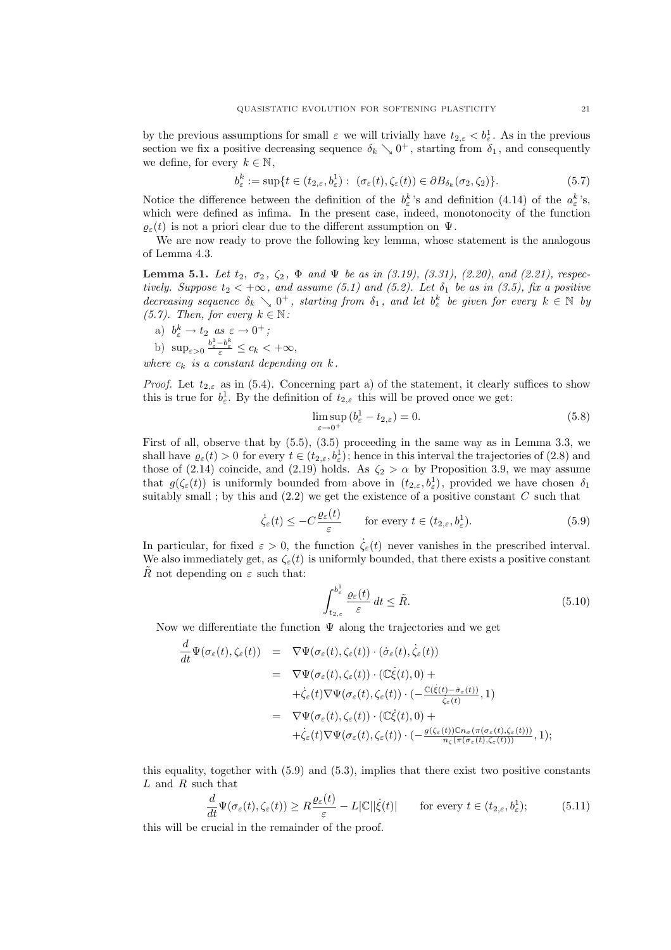by the previous assumptions for small  $\varepsilon$  we will trivially have  $t_{2,\varepsilon} < b_{\varepsilon}^1$ . As in the previous section we fix a positive decreasing sequence  $\delta_k \searrow 0^+$ , starting from  $\delta_1$ , and consequently we define, for every  $k \in \mathbb{N}$ ,

$$
b_{\varepsilon}^k := \sup\{t \in (t_{2,\varepsilon}, b_{\varepsilon}^1) : \ (\sigma_{\varepsilon}(t), \zeta_{\varepsilon}(t)) \in \partial B_{\delta_k}(\sigma_2, \zeta_2)\}.
$$
 (5.7)

Notice the difference between the definition of the  $b_{\varepsilon}^{k}$ 's and definition (4.14) of the  $a_{\varepsilon}^{k}$ 's, which were defined as infima. In the present case, indeed, monotonocity of the function  $\varrho_{\varepsilon}(t)$  is not a priori clear due to the different assumption on  $\Psi$ .

We are now ready to prove the following key lemma, whose statement is the analogous of Lemma 4.3.

Lemma 5.1. Let  $t_2, \sigma_2, \zeta_2, \Phi$  and  $\Psi$  be as in (3.19), (3.31), (2.20), and (2.21), respectively. Suppose  $t_2 < +\infty$ , and assume (5.1) and (5.2). Let  $\delta_1$  be as in (3.5), fix a positive decreasing sequence  $\delta_k \searrow 0^+$ , starting from  $\delta_1$ , and let  $b_{\varepsilon}^k$  be given for every  $k \in \mathbb{N}$  by (5.7). Then, for every  $k \in \mathbb{N}$ :

a)  $b_{\varepsilon}^k \to t_2$  as  $\varepsilon \to 0^+$ ;

b) 
$$
\sup_{\varepsilon>0} \frac{b^1_{\varepsilon}-b^k_{\varepsilon}}{\varepsilon} \leq c_k < +\infty
$$
,

where  $c_k$  is a constant depending on  $k$ .

*Proof.* Let  $t_{2,\varepsilon}$  as in (5.4). Concerning part a) of the statement, it clearly suffices to show this is true for  $b^1_\varepsilon$ . By the definition of  $t_{2,\varepsilon}$  this will be proved once we get:

$$
\limsup_{\varepsilon \to 0^+} (b^1_{\varepsilon} - t_{2,\varepsilon}) = 0.
$$
\n(5.8)

First of all, observe that by  $(5.5)$ ,  $(3.5)$  proceeding in the same way as in Lemma 3.3, we shall have  $\varrho_{\varepsilon}(t) > 0$  for every  $t \in (t_{2,\varepsilon}, b_{\varepsilon}^1)$ ; hence in this interval the trajectories of  $(2.8)$  and those of (2.14) coincide, and (2.19) holds. As  $\zeta_2 > \alpha$  by Proposition 3.9, we may assume that  $g(\zeta_\varepsilon(t))$  is uniformly bounded from above in  $(t_{2,\varepsilon},b_\varepsilon^1)$ , provided we have chosen  $\delta_1$ suitably small ; by this and  $(2.2)$  we get the existence of a positive constant  $C$  such that

$$
\dot{\zeta}_{\varepsilon}(t) \le -C \frac{\varrho_{\varepsilon}(t)}{\varepsilon} \qquad \text{for every } t \in (t_{2,\varepsilon}, b_{\varepsilon}^1). \tag{5.9}
$$

In particular, for fixed  $\varepsilon > 0$ , the function  $\zeta_{\varepsilon}(t)$  never vanishes in the prescribed interval. We also immediately get, as  $\zeta_{\varepsilon}(t)$  is uniformly bounded, that there exists a positive constant R not depending on  $\varepsilon$  such that:

$$
\int_{t_{2,\varepsilon}}^{b_{\varepsilon}^1} \frac{\varrho_{\varepsilon}(t)}{\varepsilon} dt \le \tilde{R}.
$$
\n(5.10)

Now we differentiate the function  $\Psi$  along the trajectories and we get

$$
\frac{d}{dt}\Psi(\sigma_{\varepsilon}(t),\zeta_{\varepsilon}(t)) = \nabla\Psi(\sigma_{\varepsilon}(t),\zeta_{\varepsilon}(t)) \cdot (\dot{\sigma}_{\varepsilon}(t),\dot{\zeta}_{\varepsilon}(t)) \n= \nabla\Psi(\sigma_{\varepsilon}(t),\zeta_{\varepsilon}(t)) \cdot (\mathbb{C}\dot{\xi}(t),0) + \n+ \dot{\zeta}_{\varepsilon}(t)\nabla\Psi(\sigma_{\varepsilon}(t),\zeta_{\varepsilon}(t)) \cdot (-\frac{\mathbb{C}(\dot{\xi}(t)-\dot{\sigma}_{\varepsilon}(t))}{\dot{\zeta}_{\varepsilon}(t)},1) \n= \nabla\Psi(\sigma_{\varepsilon}(t),\zeta_{\varepsilon}(t)) \cdot (\mathbb{C}\dot{\xi}(t),0) + \n+ \dot{\zeta}_{\varepsilon}(t)\nabla\Psi(\sigma_{\varepsilon}(t),\zeta_{\varepsilon}(t)) \cdot (-\frac{g(\zeta_{\varepsilon}(t))\mathbb{C}n_{\sigma}(\pi(\sigma_{\varepsilon}(t),\zeta_{\varepsilon}(t)))}{n_{\zeta}(\pi(\sigma_{\varepsilon}(t),\zeta_{\varepsilon}(t)))},1);
$$

this equality, together with (5.9) and (5.3), implies that there exist two positive constants  $L$  and  $R$  such that

$$
\frac{d}{dt}\Psi(\sigma_{\varepsilon}(t),\zeta_{\varepsilon}(t)) \ge R\frac{\varrho_{\varepsilon}(t)}{\varepsilon} - L|\mathbb{C}||\dot{\xi}(t)| \qquad \text{for every } t \in (t_{2,\varepsilon},b_{\varepsilon}^1); \tag{5.11}
$$

this will be crucial in the remainder of the proof.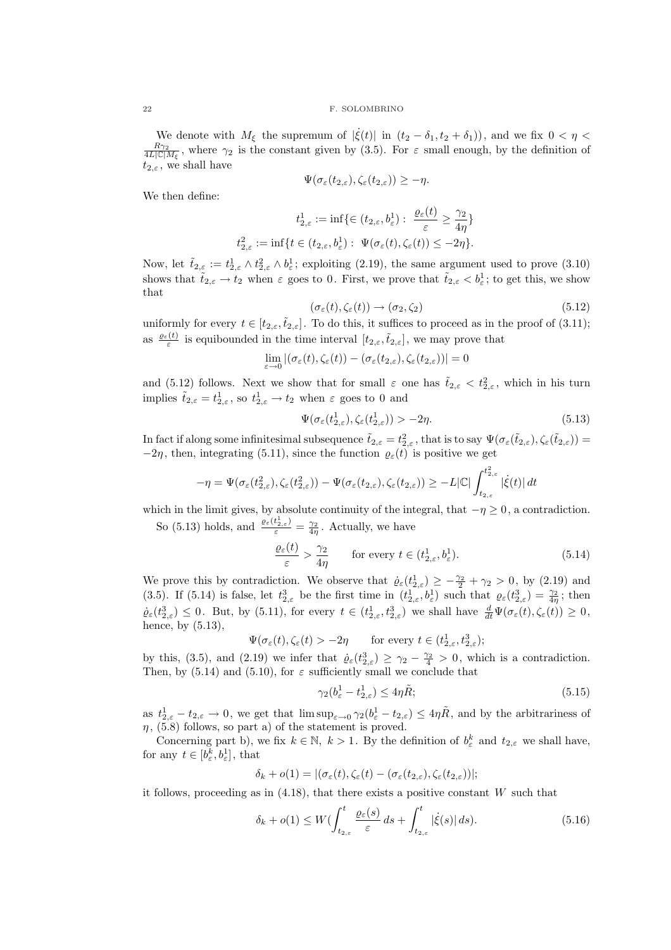We denote with  $M_{\xi}$  the supremum of  $|\dot{\xi}(t)|$  in  $(t_2 - \delta_1, t_2 + \delta_1)$ , and we fix  $0 < \eta <$  $\frac{R_{\gamma_2}}{4L|\mathbb{C}|M_{\xi}}$ , where  $\gamma_2$  is the constant given by (3.5). For  $\varepsilon$  small enough, by the definition of  $t_{2,\varepsilon}$ , we shall have

$$
\Psi(\sigma_{\varepsilon}(t_{2,\varepsilon}),\zeta_{\varepsilon}(t_{2,\varepsilon}))\geq -\eta.
$$

We then define:

 $t_2^2$ 

$$
t_{2,\varepsilon}^1 := \inf \{ \in (t_{2,\varepsilon}, b_{\varepsilon}^1) : \frac{\varrho_{\varepsilon}(t)}{\varepsilon} \ge \frac{\gamma_2}{4\eta} \}
$$
  

$$
t_{2,\varepsilon}^2 := \inf \{ t \in (t_{2,\varepsilon}, b_{\varepsilon}^1) : \Psi(\sigma_{\varepsilon}(t), \zeta_{\varepsilon}(t)) \le -2\eta \}.
$$

Now, let  $\tilde{t}_{2,\varepsilon} := t_{2,\varepsilon}^1 \wedge t_{2,\varepsilon}^2 \wedge b_{\varepsilon}^1$ ; exploiting (2.19), the same argument used to prove (3.10) shows that  $\tilde{t}_{2,\varepsilon} \to t_2$  when  $\varepsilon$  goes to 0. First, we prove that  $\tilde{t}_{2,\varepsilon} < b_{\varepsilon}^1$ ; to get this, we show that

$$
(\sigma_{\varepsilon}(t), \zeta_{\varepsilon}(t)) \to (\sigma_2, \zeta_2) \tag{5.12}
$$

uniformly for every  $t \in [t_{2,\varepsilon}, \tilde{t}_{2,\varepsilon}]$ . To do this, it suffices to proceed as in the proof of (3.11); as  $\frac{\varrho_{\varepsilon}(t)}{\varepsilon}$  is equibounded in the time interval  $[t_{2,\varepsilon},\tilde{t}_{2,\varepsilon}]$ , we may prove that

$$
\lim_{\varepsilon \to 0} |(\sigma_{\varepsilon}(t), \zeta_{\varepsilon}(t)) - (\sigma_{\varepsilon}(t_{2, \varepsilon}), \zeta_{\varepsilon}(t_{2, \varepsilon}))| = 0
$$

and (5.12) follows. Next we show that for small  $\varepsilon$  one has  $\tilde{t}_{2,\varepsilon} < t_{2,\varepsilon}^2$ , which in his turn implies  $\tilde{t}_{2,\varepsilon} = t_{2,\varepsilon}^1$ , so  $t_{2,\varepsilon}^1 \to t_2$  when  $\varepsilon$  goes to 0 and

$$
\Psi(\sigma_{\varepsilon}(t_{2,\varepsilon}^1), \zeta_{\varepsilon}(t_{2,\varepsilon}^1)) > -2\eta. \tag{5.13}
$$

In fact if along some infinitesimal subsequence  $\tilde{t}_{2,\varepsilon} = t_{2,\varepsilon}^2$ , that is to say  $\Psi(\sigma_{\varepsilon}(\tilde{t}_{2,\varepsilon}), \zeta_{\varepsilon}(\tilde{t}_{2,\varepsilon})) =$  $-2\eta$ , then, integrating (5.11), since the function  $\varrho_{\varepsilon}(t)$  is positive we get

$$
-\eta = \Psi(\sigma_\varepsilon(t_{2,\varepsilon}^2),\zeta_\varepsilon(t_{2,\varepsilon}^2)) - \Psi(\sigma_\varepsilon(t_{2,\varepsilon}),\zeta_\varepsilon(t_{2,\varepsilon})) \geq -L|\mathbb{C}|\int_{t_{2,\varepsilon}}^{t_{2,\varepsilon}^2} |\dot{\xi}(t)|\,dt
$$

which in the limit gives, by absolute continuity of the integral, that  $-\eta \geq 0$ , a contradiction. So (5.13) holds, and  $\frac{\varrho_{\varepsilon}(t_{2,\varepsilon}^1)}{\varepsilon} = \frac{\gamma_2}{4\eta}$ . Actually, we have

$$
\frac{\varrho_{\varepsilon}(t)}{\varepsilon} > \frac{\gamma_2}{4\eta} \qquad \text{for every } t \in (t^1_{2,\varepsilon}, b^1_{\varepsilon}).
$$
\n(5.14)

We prove this by contradiction. We observe that  $\dot{\varrho}_{\varepsilon}(t_{2,\varepsilon}^1) \geq -\frac{\gamma_2}{2} + \gamma_2 > 0$ , by (2.19) and (3.5). If (5.14) is false, let  $t_{2,\varepsilon}^3$  be the first time in  $(t_{2,\varepsilon}^1, b_{\varepsilon}^1)$  such that  $\varrho_{\varepsilon}(t_{2,\varepsilon}^3) = \frac{\gamma_2}{4\eta}$ ; then  $\dot{\varrho}_{\varepsilon}(t_{2,\varepsilon}^3) \leq 0$ . But, by (5.11), for every  $t \in (t_{2,\varepsilon}^1, t_{2,\varepsilon}^3)$  we shall have  $\frac{d}{dt}\Psi(\sigma_{\varepsilon}(t), \zeta_{\varepsilon}(t)) \geq 0$ , hence, by  $(5.13)$ ,

$$
\Psi(\sigma_{\varepsilon}(t), \zeta_{\varepsilon}(t) > -2\eta \quad \text{for every } t \in (t^1_{2,\varepsilon}, t^3_{2,\varepsilon});
$$

by this, (3.5), and (2.19) we infer that  $\dot{\varrho}_{\varepsilon}(t_{2,\varepsilon}^3) \geq \gamma_2 - \frac{\gamma_2}{4} > 0$ , which is a contradiction. Then, by (5.14) and (5.10), for  $\varepsilon$  sufficiently small we conclude that

$$
\gamma_2(b^1_\varepsilon - t^1_{2,\varepsilon}) \le 4\eta \tilde{R};\tag{5.15}
$$

as  $t_{2,\varepsilon}^1 - t_{2,\varepsilon} \to 0$ , we get that  $\limsup_{\varepsilon \to 0} \gamma_2(b_\varepsilon^1 - t_{2,\varepsilon}) \leq 4\eta \tilde{R}$ , and by the arbitrariness of  $\eta$ , (5.8) follows, so part a) of the statement is proved.

Concerning part b), we fix  $k \in \mathbb{N}$ ,  $k > 1$ . By the definition of  $b_{\varepsilon}^{k}$  and  $t_{2,\varepsilon}$  we shall have, for any  $t \in [b_{\varepsilon}^k, b_{\varepsilon}^1]$ , that

$$
\delta_k + o(1) = |(\sigma_{\varepsilon}(t), \zeta_{\varepsilon}(t) - (\sigma_{\varepsilon}(t_{2,\varepsilon}), \zeta_{\varepsilon}(t_{2,\varepsilon}))|;
$$

it follows, proceeding as in  $(4.18)$ , that there exists a positive constant W such that

$$
\delta_k + o(1) \le W(\int_{t_{2,\varepsilon}}^t \frac{\varrho_\varepsilon(s)}{\varepsilon} ds + \int_{t_{2,\varepsilon}}^t |\dot{\xi}(s)| ds). \tag{5.16}
$$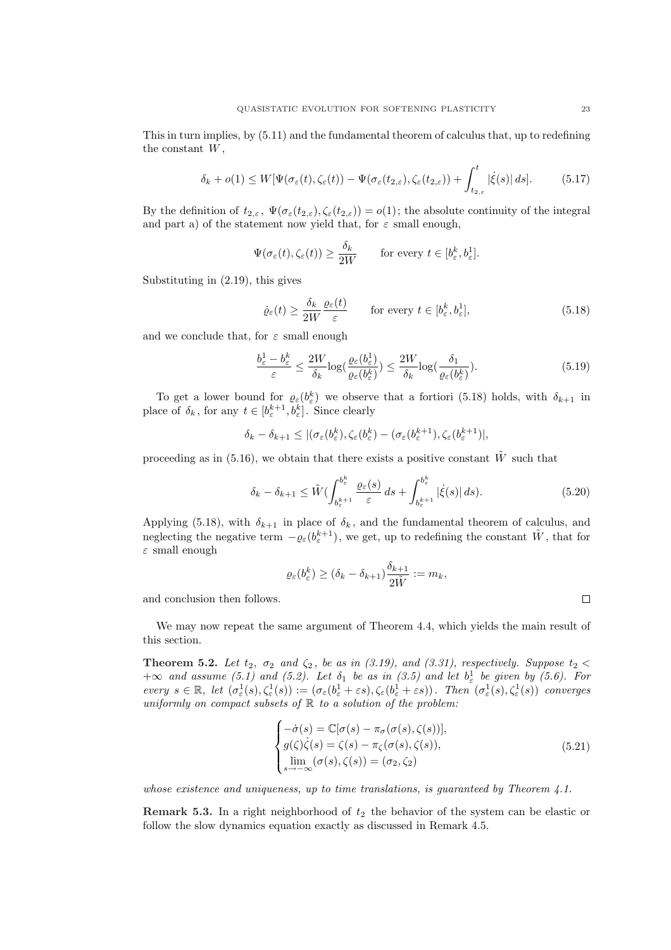This in turn implies, by (5.11) and the fundamental theorem of calculus that, up to redefining the constant  $W$ .

$$
\delta_k + o(1) \le W[\Psi(\sigma_{\varepsilon}(t), \zeta_{\varepsilon}(t)) - \Psi(\sigma_{\varepsilon}(t_{2, \varepsilon}), \zeta_{\varepsilon}(t_{2, \varepsilon})) + \int_{t_{2, \varepsilon}}^t |\dot{\xi}(s)| ds]. \tag{5.17}
$$

By the definition of  $t_{2,\varepsilon}$ ,  $\Psi(\sigma_{\varepsilon}(t_{2,\varepsilon}), \zeta_{\varepsilon}(t_{2,\varepsilon})) = o(1)$ ; the absolute continuity of the integral and part a) of the statement now yield that, for  $\varepsilon$  small enough,

$$
\Psi(\sigma_{\varepsilon}(t), \zeta_{\varepsilon}(t)) \ge \frac{\delta_k}{2W} \quad \text{for every } t \in [b_{\varepsilon}^k, b_{\varepsilon}^1].
$$

Substituting in (2.19), this gives

$$
\dot{\varrho}_{\varepsilon}(t) \ge \frac{\delta_k}{2W} \frac{\varrho_{\varepsilon}(t)}{\varepsilon} \qquad \text{for every } t \in [b_{\varepsilon}^k, b_{\varepsilon}^1],\tag{5.18}
$$

and we conclude that, for  $\varepsilon$  small enough

$$
\frac{b_{\varepsilon}^{1} - b_{\varepsilon}^{k}}{\varepsilon} \le \frac{2W}{\delta_{k}} \log(\frac{\varrho_{\varepsilon}(b_{\varepsilon}^{1})}{\varrho_{\varepsilon}(b_{\varepsilon}^{k})}) \le \frac{2W}{\delta_{k}} \log(\frac{\delta_{1}}{\varrho_{\varepsilon}(b_{\varepsilon}^{k})}).
$$
\n(5.19)

To get a lower bound for  $\varrho_{\varepsilon}(b_{\varepsilon}^k)$  we observe that a fortiori (5.18) holds, with  $\delta_{k+1}$  in place of  $\delta_k$ , for any  $t \in [b^{k+1}_{\varepsilon}, b^{k}_{\varepsilon}]$ . Since clearly

$$
\delta_k - \delta_{k+1} \leq |(\sigma_{\varepsilon}(b_{\varepsilon}^k), \zeta_{\varepsilon}(b_{\varepsilon}^k) - (\sigma_{\varepsilon}(b_{\varepsilon}^{k+1}), \zeta_{\varepsilon}(b_{\varepsilon}^{k+1})|,
$$

proceeding as in (5.16), we obtain that there exists a positive constant  $\tilde{W}$  such that

$$
\delta_k - \delta_{k+1} \le \tilde{W} \left( \int_{b_{\varepsilon}^{k+1}}^{b_{\varepsilon}^k} \frac{\varrho_{\varepsilon}(s)}{\varepsilon} ds + \int_{b_{\varepsilon}^{k+1}}^{b_{\varepsilon}^k} |\dot{\xi}(s)| ds \right). \tag{5.20}
$$

Applying (5.18), with  $\delta_{k+1}$  in place of  $\delta_k$ , and the fundamental theorem of calculus, and neglecting the negative term  $-\varrho_{\varepsilon}(b_{\varepsilon}^{k+1}),$  we get, up to redefining the constant  $\tilde{W}$ , that for  $\varepsilon$  small enough

$$
\varrho_{\varepsilon}(b_{\varepsilon}^k) \geq (\delta_k - \delta_{k+1}) \frac{\delta_{k+1}}{2\tilde{W}} := m_k,
$$

and conclusion then follows.

We may now repeat the same argument of Theorem 4.4, which yields the main result of this section.

**Theorem 5.2.** Let  $t_2$ ,  $\sigma_2$  and  $\zeta_2$ , be as in (3.19), and (3.31), respectively. Suppose  $t_2$  <  $+\infty$  and assume (5.1) and (5.2). Let  $\delta_1$  be as in (3.5) and let  $b^1_\varepsilon$  be given by (5.6). For every  $s \in \mathbb{R}$ , let  $(\sigma_{\varepsilon}^1(s), \zeta_{\varepsilon}^1(s)) := (\sigma_{\varepsilon}(b^1_{\varepsilon} + \varepsilon s), \zeta_{\varepsilon}(b^1_{\varepsilon} + \varepsilon s))$ . Then  $(\sigma_{\varepsilon}^1(s), \zeta_{\varepsilon}^1(s))$  converges uniformly on compact subsets of  $\mathbb R$  to a solution of the problem:

$$
\begin{cases}\n-\dot{\sigma}(s) = \mathbb{C}[\sigma(s) - \pi_{\sigma}(\sigma(s), \zeta(s))],\\ \ng(\zeta)\dot{\zeta}(s) = \zeta(s) - \pi_{\zeta}(\sigma(s), \zeta(s)),\\ \lim_{s \to -\infty} (\sigma(s), \zeta(s)) = (\sigma_2, \zeta_2)\n\end{cases}
$$
\n(5.21)

whose existence and uniqueness, up to time translations, is quaranteed by Theorem  $\ddagger$ , 1.

**Remark 5.3.** In a right neighborhood of  $t_2$  the behavior of the system can be elastic or follow the slow dynamics equation exactly as discussed in Remark 4.5.

 $\Box$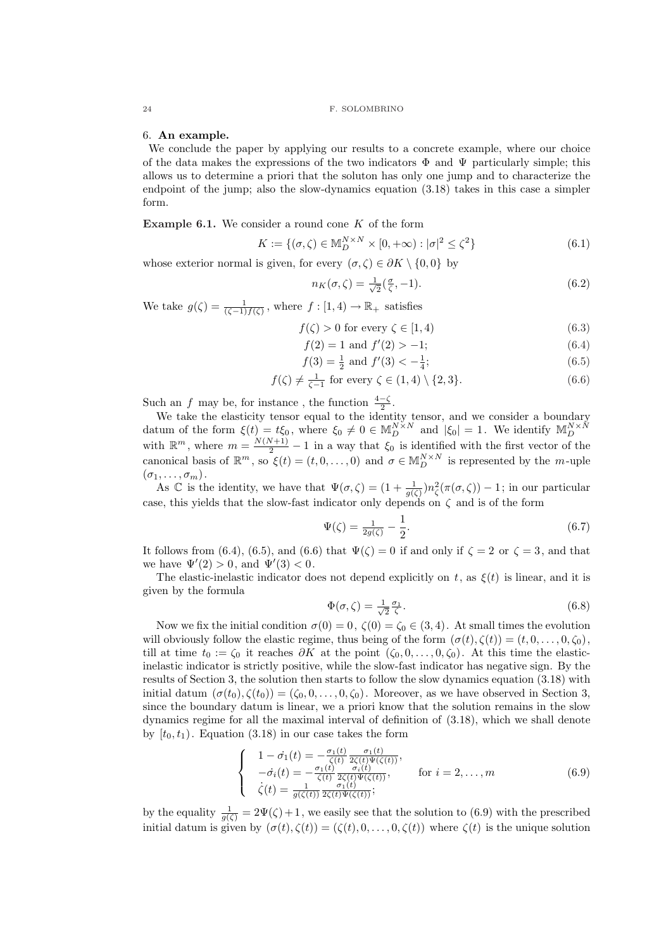#### 6. An example.

We conclude the paper by applying our results to a concrete example, where our choice of the data makes the expressions of the two indicators  $\Phi$  and  $\Psi$  particularly simple; this allows us to determine a priori that the soluton has only one jump and to characterize the endpoint of the jump; also the slow-dynamics equation (3.18) takes in this case a simpler form.

**Example 6.1.** We consider a round cone  $K$  of the form

$$
K := \{ (\sigma, \zeta) \in \mathbb{M}_D^{N \times N} \times [0, +\infty) : |\sigma|^2 \le \zeta^2 \}
$$
\n
$$
(6.1)
$$

whose exterior normal is given, for every  $(\sigma, \zeta) \in \partial K \setminus \{0, 0\}$  by

$$
n_K(\sigma,\zeta) = \frac{1}{\sqrt{2}}(\frac{\sigma}{\zeta},-1). \tag{6.2}
$$

We take  $g(\zeta) = \frac{1}{(\zeta - 1)f(\zeta)}$ , where  $f : [1, 4) \to \mathbb{R}_+$  satisfies

$$
f(\zeta) > 0 \text{ for every } \zeta \in [1, 4)
$$
\n
$$
(6.3)
$$

$$
f(2) = 1 \text{ and } f'(2) > -1; \tag{6.4}
$$

$$
f(3) = \frac{1}{2} \text{ and } f'(3) < -\frac{1}{4};\tag{6.5}
$$

$$
f(\zeta) \neq \frac{1}{\zeta - 1} \text{ for every } \zeta \in (1, 4) \setminus \{2, 3\}. \tag{6.6}
$$

Such an f may be, for instance, the function  $\frac{4-\zeta}{2}$ .

We take the elasticity tensor equal to the identity tensor, and we consider a boundary datum of the form  $\xi(t) = t\xi_0$ , where  $\xi_0 \neq 0 \in M_D^{N \times N}$  and  $|\xi_0| = 1$ . We identify  $M_D^{N \times N}$ with  $\mathbb{R}^m$ , where  $m = \frac{N(N+1)}{2} - 1$  in a way that  $\xi_0$  is identified with the first vector of the canonical basis of  $\mathbb{R}^m$ , so  $\xi(t) = (t, 0, \dots, 0)$  and  $\sigma \in M_D^{N \times N}$  is represented by the *m*-uple  $(\sigma_1, \ldots, \sigma_m).$ 

As C is the identity, we have that  $\Psi(\sigma,\zeta)=(1+\frac{1}{g(\zeta)})n_{\zeta}^2(\pi(\sigma,\zeta))-1$ ; in our particular case, this yields that the slow-fast indicator only depends on  $\zeta$  and is of the form

$$
\Psi(\zeta) = \frac{1}{2g(\zeta)} - \frac{1}{2}.\tag{6.7}
$$

It follows from (6.4), (6.5), and (6.6) that  $\Psi(\zeta) = 0$  if and only if  $\zeta = 2$  or  $\zeta = 3$ , and that we have  $\Psi'(2) > 0$ , and  $\Psi'(3) < 0$ .

The elastic-inelastic indicator does not depend explicitly on t, as  $\xi(t)$  is linear, and it is given by the formula

$$
\Phi(\sigma,\zeta) = \frac{1}{\sqrt{2}} \frac{\sigma_1}{\zeta}.\tag{6.8}
$$

Now we fix the initial condition  $\sigma(0) = 0$ ,  $\zeta(0) = \zeta_0 \in (3, 4)$ . At small times the evolution will obviously follow the elastic regime, thus being of the form  $(\sigma(t), \zeta(t)) = (t, 0, \ldots, 0, \zeta_0)$ , till at time  $t_0 := \zeta_0$  it reaches  $\partial K$  at the point  $(\zeta_0, 0, \ldots, 0, \zeta_0)$ . At this time the elasticinelastic indicator is strictly positive, while the slow-fast indicator has negative sign. By the results of Section 3, the solution then starts to follow the slow dynamics equation (3.18) with initial datum  $(\sigma(t_0), \zeta(t_0)) = (\zeta_0, 0, \ldots, 0, \zeta_0)$ . Moreover, as we have observed in Section 3, since the boundary datum is linear, we a priori know that the solution remains in the slow dynamics regime for all the maximal interval of definition of (3.18), which we shall denote by  $[t_0, t_1)$ . Equation (3.18) in our case takes the form

$$
\begin{cases}\n1 - \dot{\sigma_1}(t) = -\frac{\sigma_1(t)}{\zeta(t)} \frac{\sigma_1(t)}{2\zeta(t)\Psi(\zeta(t))}, \n- \dot{\sigma_i}(t) = -\frac{\sigma_1(t)}{\zeta(t)} \frac{\sigma_i(t)}{2\zeta(t)\Psi(\zeta(t))}, & \text{for } i = 2, ..., m \\
\dot{\zeta}(t) = \frac{1}{g(\zeta(t))} \frac{\sigma_1(t)}{2\zeta(t)\Psi(\zeta(t))}; & \text{for } i = 2, ..., m\n\end{cases}
$$
\n(6.9)

by the equality  $\frac{1}{g(\zeta)} = 2\Psi(\zeta) + 1$ , we easily see that the solution to (6.9) with the prescribed initial datum is given by  $(\sigma(t), \zeta(t)) = (\zeta(t), 0, \ldots, 0, \zeta(t))$  where  $\zeta(t)$  is the unique solution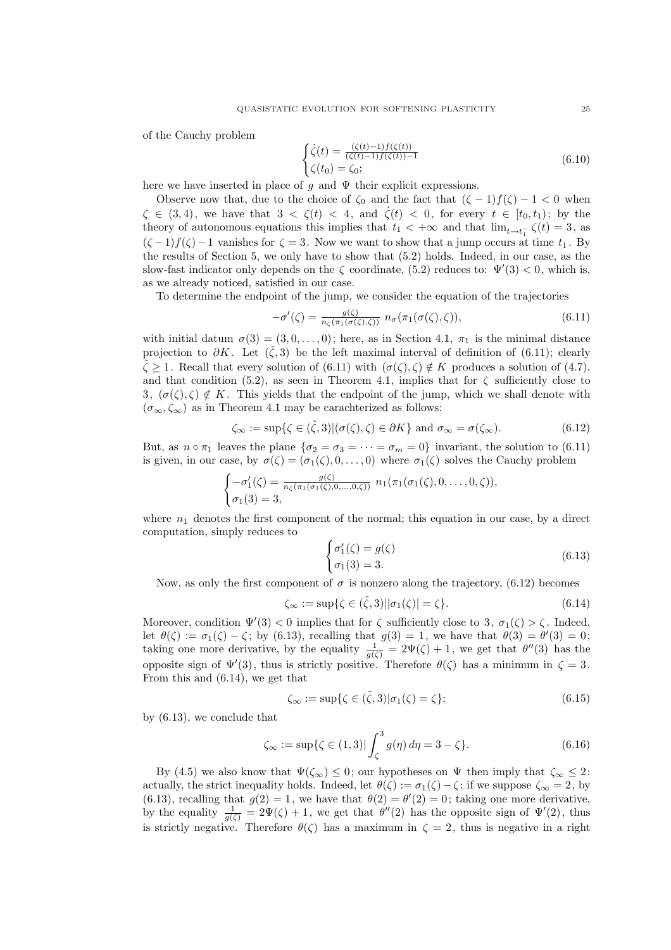of the Cauchy problem

$$
\begin{cases}\n\dot{\zeta}(t) = \frac{(\zeta(t) - 1)f(\zeta(t))}{(\zeta(t) - 1)f(\zeta(t)) - 1} \\
\zeta(t_0) = \zeta_0;\n\end{cases}
$$
\n(6.10)

here we have inserted in place of g and  $\Psi$  their explicit expressions.

Observe now that, due to the choice of  $\zeta_0$  and the fact that  $(\zeta - 1)f(\zeta) - 1 < 0$  when  $\zeta \in (3, 4)$ , we have that  $3 < \zeta(t) < 4$ , and  $\dot{\zeta}(t) < 0$ , for every  $t \in [t_0, t_1)$ ; by the theory of autonomous equations this implies that  $t_1 < +\infty$  and that  $\lim_{t \to t_1^-} \zeta(t) = 3$ , as  $(\zeta -1)f(\zeta)-1$  vanishes for  $\zeta = 3$ . Now we want to show that a jump occurs at time  $t_1$ . By the results of Section 5, we only have to show that (5.2) holds. Indeed, in our case, as the slow-fast indicator only depends on the  $\zeta$  coordinate, (5.2) reduces to:  $\Psi'(3) < 0$ , which is, as we already noticed, satisfied in our case.

To determine the endpoint of the jump, we consider the equation of the trajectories

$$
-\sigma'(\zeta) = \frac{g(\zeta)}{n_{\zeta}(\pi_1(\sigma(\zeta), \zeta))} n_{\sigma}(\pi_1(\sigma(\zeta), \zeta)), \tag{6.11}
$$

with initial datum  $\sigma(3) = (3, 0, \ldots, 0)$ ; here, as in Section 4.1,  $\pi_1$  is the minimal distance projection to  $\partial K$ . Let  $(\tilde{\zeta},3)$  be the left maximal interval of definition of (6.11); clearly  $\tilde{\zeta} > 1$ . Recall that every solution of (6.11) with  $(\sigma(\zeta), \zeta) \notin K$  produces a solution of (4.7), and that condition (5.2), as seen in Theorem 4.1, implies that for  $\zeta$  sufficiently close to 3,  $(\sigma(\zeta), \zeta) \notin K$ . This yields that the endpoint of the jump, which we shall denote with  $(\sigma_{\infty}, \zeta_{\infty})$  as in Theorem 4.1 may be carachterized as follows:

$$
\zeta_{\infty} := \sup \{ \zeta \in (\tilde{\zeta}, 3) | (\sigma(\zeta), \zeta) \in \partial K \} \text{ and } \sigma_{\infty} = \sigma(\zeta_{\infty}). \tag{6.12}
$$

But, as  $n \circ \pi_1$  leaves the plane  $\{\sigma_2 = \sigma_3 = \cdots = \sigma_m = 0\}$  invariant, the solution to (6.11) is given, in our case, by  $\sigma(\zeta) = (\sigma_1(\zeta), 0, \ldots, 0)$  where  $\sigma_1(\zeta)$  solves the Cauchy problem

$$
\begin{cases}\n-\sigma'_1(\zeta) = \frac{g(\zeta)}{n_{\zeta}(\pi_1(\sigma_1(\zeta), 0, \ldots, 0, \zeta))} n_1(\pi_1(\sigma_1(\zeta), 0, \ldots, 0, \zeta)), \\
\sigma_1(3) = 3,\n\end{cases}
$$

where  $n_1$  denotes the first component of the normal; this equation in our case, by a direct computation, simply reduces to  $\overline{a}$ 

$$
\begin{cases}\n\sigma_1'(\zeta) = g(\zeta) \\
\sigma_1(3) = 3.\n\end{cases}
$$
\n(6.13)

Now, as only the first component of  $\sigma$  is nonzero along the trajectory, (6.12) becomes

$$
\zeta_{\infty} := \sup \{ \zeta \in (\tilde{\zeta}, 3) \, | \, |\sigma_1(\zeta)| = \zeta \}. \tag{6.14}
$$

Moreover, condition  $\Psi'(3) < 0$  implies that for  $\zeta$  sufficiently close to 3,  $\sigma_1(\zeta) > \zeta$ . Indeed, let  $\theta(\zeta) := \sigma_1(\zeta) - \zeta$ ; by (6.13), recalling that  $g(3) = 1$ , we have that  $\theta(3) = \theta'(3) = 0$ ; taking one more derivative, by the equality  $\frac{1}{g(\zeta)} = 2\Psi(\zeta) + 1$ , we get that  $\theta''(3)$  has the opposite sign of  $\Psi'(3)$ , thus is strictly positive. Therefore  $\theta(\zeta)$  has a minimum in  $\zeta = 3$ . From this and (6.14), we get that

$$
\zeta_{\infty} := \sup \{ \zeta \in (\tilde{\zeta}, 3) | \sigma_1(\zeta) = \zeta \};\tag{6.15}
$$

by (6.13), we conclude that

$$
\zeta_{\infty} := \sup \{ \zeta \in (1,3) \mid \int_{\zeta}^{3} g(\eta) \, d\eta = 3 - \zeta \}. \tag{6.16}
$$

By (4.5) we also know that  $\Psi(\zeta_{\infty}) \leq 0$ ; our hypotheses on  $\Psi$  then imply that  $\zeta_{\infty} \leq 2$ : actually, the strict inequality holds. Indeed, let  $\theta(\zeta) := \sigma_1(\zeta) - \zeta$ ; if we suppose  $\zeta_{\infty} = 2$ , by (6.13), recalling that  $g(2) = 1$ , we have that  $\theta(2) = \theta'(2) = 0$ ; taking one more derivative, by the equality  $\frac{1}{g(\zeta)} = 2\Psi(\zeta) + 1$ , we get that  $\theta''(2)$  has the opposite sign of  $\Psi'(2)$ , thus is strictly negative. Therefore  $\theta(\zeta)$  has a maximum in  $\zeta = 2$ , thus is negative in a right